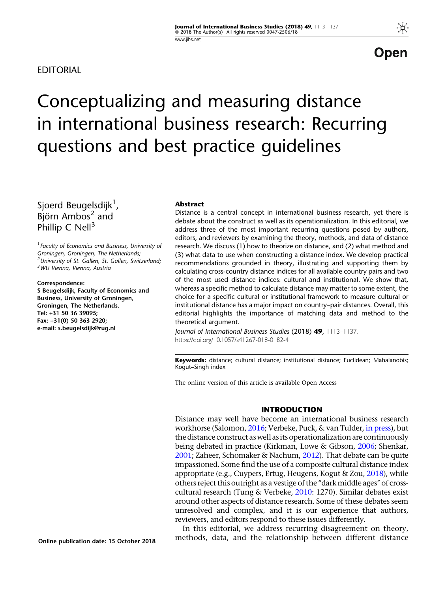EDITORIAL

## Open

# Conceptualizing and measuring distance in international business research: Recurring questions and best practice guidelines

Sjoerd Beugelsdijk<sup>1</sup>, Björn Ambos<sup>2</sup> and Phillip C Nell<sup>3</sup>

<sup>1</sup> Faculty of Economics and Business, University of Groningen, Groningen, The Netherlands; <sup>2</sup> University of St. Gallen, St. Gallen, Switzerland; 3 WU Vienna, Vienna, Austria

Correspondence: S Beugelsdijk, Faculty of Economics and Business, University of Groningen, Groningen, The Netherlands. Tel: +31 50 36 39095; Fax: +31(0) 50 363 2920; e-mail: s.beugelsdijk@rug.nl

#### Abstract

Distance is a central concept in international business research, yet there is debate about the construct as well as its operationalization. In this editorial, we address three of the most important recurring questions posed by authors, editors, and reviewers by examining the theory, methods, and data of distance research. We discuss (1) how to theorize on distance, and (2) what method and (3) what data to use when constructing a distance index. We develop practical recommendations grounded in theory, illustrating and supporting them by calculating cross-country distance indices for all available country pairs and two of the most used distance indices: cultural and institutional. We show that, whereas a specific method to calculate distance may matter to some extent, the choice for a specific cultural or institutional framework to measure cultural or institutional distance has a major impact on country–pair distances. Overall, this editorial highlights the importance of matching data and method to the theoretical argument.

Journal of International Business Studies (2018) 49, 1113-1137. https://doi.org/10.1057/s41267-018-0182-4

Keywords: distance; cultural distance; institutional distance; Euclidean; Mahalanobis; Kogut–Singh index

The online version of this article is available Open Access

#### INTRODUCTION

Distance may well have become an international business research workhorse (Salomon, [2016;](#page-18-0) Verbeke, Puck, & van Tulder, [in press](#page-19-0)), but the distance construct aswell as its operationalization are continuously being debated in practice (Kirkman, Lowe & Gibson, [2006](#page-17-0); Shenkar, [2001](#page-18-0); Zaheer, Schomaker & Nachum, [2012\)](#page-19-0). That debate can be quite impassioned. Some find the use of a composite cultural distance index appropriate (e.g., Cuypers, Ertug, Heugens, Kogut & Zou, [2018](#page-16-0)), while others reject this outright as a vestige of the ''darkmiddle ages'' of crosscultural research (Tung & Verbeke, [2010:](#page-19-0) 1270). Similar debates exist around other aspects of distance research. Some of these debates seem unresolved and complex, and it is our experience that authors, reviewers, and editors respond to these issues differently.

In this editorial, we address recurring disagreement on theory, methods, data, and the relationship between different distance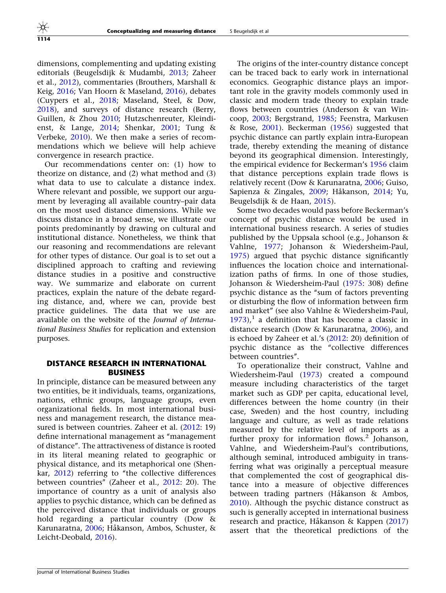dimensions, complementing and updating existing editorials (Beugelsdijk & Mudambi, [2013;](#page-16-0) Zaheer et al., [2012](#page-19-0)), commentaries (Brouthers, Marshall & Keig, [2016;](#page-16-0) Van Hoorn & Maseland, [2016](#page-19-0)), debates (Cuypers et al., [2018;](#page-16-0) Maseland, Steel, & Dow, [2018\)](#page-18-0), and surveys of distance research (Berry, Guillen, & Zhou [2010](#page-16-0); Hutzschenreuter, Kleindienst, & Lange, [2014](#page-17-0); Shenkar, [2001;](#page-18-0) Tung & Verbeke, [2010](#page-19-0)). We then make a series of recommendations which we believe will help achieve convergence in research practice.

Our recommendations center on: (1) how to theorize on distance, and (2) what method and (3) what data to use to calculate a distance index. Where relevant and possible, we support our argument by leveraging all available country–pair data on the most used distance dimensions. While we discuss distance in a broad sense, we illustrate our points predominantly by drawing on cultural and institutional distance. Nonetheless, we think that our reasoning and recommendations are relevant for other types of distance. Our goal is to set out a disciplined approach to crafting and reviewing distance studies in a positive and constructive way. We summarize and elaborate on current practices, explain the nature of the debate regarding distance, and, where we can, provide best practice guidelines. The data that we use are available on the website of the Journal of International Business Studies for replication and extension purposes.

#### DISTANCE RESEARCH IN INTERNATIONAL BUSINESS

In principle, distance can be measured between any two entities, be it individuals, teams, organizations, nations, ethnic groups, language groups, even organizational fields. In most international business and management research, the distance mea-sured is between countries. Zaheer et al. [\(2012](#page-19-0): 19) define international management as ''management of distance''. The attractiveness of distance is rooted in its literal meaning related to geographic or physical distance, and its metaphorical one (Shenkar,  $2012$ ) referring to "the collective differences between countries'' (Zaheer et al., [2012](#page-19-0): 20). The importance of country as a unit of analysis also applies to psychic distance, which can be defined as the perceived distance that individuals or groups hold regarding a particular country (Dow & Karunaratna, [2006;](#page-17-0) Håkanson, Ambos, Schuster, & Leicht-Deobald, [2016\)](#page-17-0).

The origins of the inter-country distance concept can be traced back to early work in international economics. Geographic distance plays an important role in the gravity models commonly used in classic and modern trade theory to explain trade flows between countries (Anderson & van Wincoop, [2003;](#page-16-0) Bergstrand, [1985;](#page-16-0) Feenstra, Markusen & Rose, [2001\)](#page-17-0). Beckerman ([1956\)](#page-16-0) suggested that psychic distance can partly explain intra-European trade, thereby extending the meaning of distance beyond its geographical dimension. Interestingly, the empirical evidence for Beckerman's [1956](#page-16-0) claim that distance perceptions explain trade flows is relatively recent (Dow & Karunaratna, [2006;](#page-17-0) Guiso, Sapienza & Zingales, [2009;](#page-17-0) Håkanson, [2014;](#page-17-0) Yu, Beugelsdijk & de Haan, [2015](#page-19-0)).

Some two decades would pass before Beckerman's concept of psychic distance would be used in international business research. A series of studies published by the Uppsala school (e.g., Johanson & Vahlne, [1977](#page-17-0); Johanson & Wiedersheim-Paul, [1975\)](#page-17-0) argued that psychic distance significantly influences the location choice and internationalization paths of firms. In one of those studies, Johanson & Wiedersheim-Paul [\(1975](#page-17-0): 308) define psychic distance as the ''sum of factors preventing or disturbing the flow of information between firm and market'' (see also Vahlne & Wiedersheim-Paul,  $1973$ ),<sup>1</sup> a definition that has become a classic in distance research (Dow & Karunaratna, [2006](#page-17-0)), and is echoed by Zaheer et al.'s ([2012:](#page-19-0) 20) definition of psychic distance as the "collective differences between countries''.

To operationalize their construct, Vahlne and Wiedersheim-Paul ([1973\)](#page-19-0) created a compound measure including characteristics of the target market such as GDP per capita, educational level, differences between the home country (in their case, Sweden) and the host country, including language and culture, as well as trade relations measured by the relative level of imports as a further proxy for information flows.<sup>2</sup> Johanson, Vahlne, and Wiedersheim-Paul's contributions, although seminal, introduced ambiguity in transferring what was originally a perceptual measure that complemented the cost of geographical distance into a measure of objective differences between trading partners (Håkanson & Ambos, [2010\)](#page-17-0). Although the psychic distance construct as such is generally accepted in international business research and practice, Håkanson & Kappen  $(2017)$  $(2017)$ assert that the theoretical predictions of the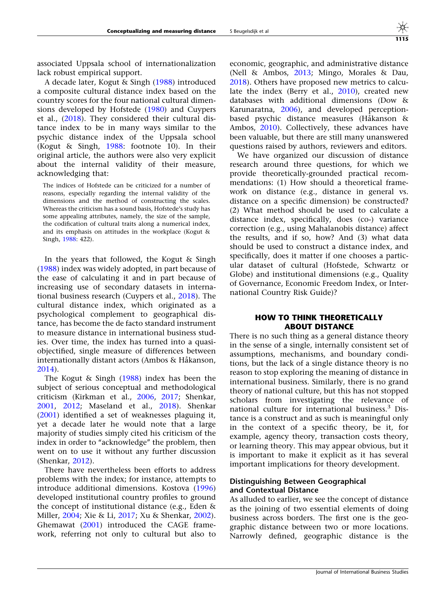associated Uppsala school of internationalization lack robust empirical support.

A decade later, Kogut & Singh ([1988](#page-17-0)) introduced a composite cultural distance index based on the country scores for the four national cultural dimensions developed by Hofstede ([1980](#page-17-0)) and Cuypers et al., ([2018\)](#page-16-0). They considered their cultural distance index to be in many ways similar to the psychic distance index of the Uppsala school (Kogut & Singh, [1988](#page-17-0): footnote 10). In their original article, the authors were also very explicit about the internal validity of their measure, acknowledging that:

The indices of Hofstede can be criticized for a number of reasons, especially regarding the internal validity of the dimensions and the method of constructing the scales. Whereas the criticism has a sound basis, Hofstede's study has some appealing attributes, namely, the size of the sample, the codification of cultural traits along a numerical index, and its emphasis on attitudes in the workplace (Kogut & Singh, [1988:](#page-17-0) 422).

In the years that followed, the Kogut & Singh [\(1988](#page-17-0)) index was widely adopted, in part because of the ease of calculating it and in part because of increasing use of secondary datasets in international business research (Cuypers et al., [2018](#page-16-0)). The cultural distance index, which originated as a psychological complement to geographical distance, has become the de facto standard instrument to measure distance in international business studies. Over time, the index has turned into a quasiobjectified, single measure of differences between internationally distant actors (Ambos & Håkanson, [2014\)](#page-16-0).

The Kogut  $\&$  Singh ([1988\)](#page-17-0) index has been the subject of serious conceptual and methodological criticism (Kirkman et al., [2006,](#page-17-0) [2017](#page-17-0); Shenkar, [2001,](#page-18-0) [2012](#page-18-0); Maseland et al., [2018\)](#page-18-0). Shenkar [\(2001](#page-18-0)) identified a set of weaknesses plaguing it, yet a decade later he would note that a large majority of studies simply cited his criticism of the index in order to "acknowledge" the problem, then went on to use it without any further discussion (Shenkar, [2012\)](#page-18-0).

There have nevertheless been efforts to address problems with the index; for instance, attempts to introduce additional dimensions. Kostova ([1996\)](#page-17-0) developed institutional country profiles to ground the concept of institutional distance (e.g., Eden & Miller, [2004](#page-17-0); Xie & Li, [2017;](#page-19-0) Xu & Shenkar, [2002\)](#page-19-0). Ghemawat ([2001](#page-17-0)) introduced the CAGE framework, referring not only to cultural but also to

economic, geographic, and administrative distance (Nell & Ambos, [2013;](#page-18-0) Mingo, Morales & Dau, [2018\)](#page-18-0). Others have proposed new metrics to calculate the index (Berry et al., [2010](#page-16-0)), created new databases with additional dimensions (Dow & Karunaratna, [2006\)](#page-17-0), and developed perceptionbased psychic distance measures (Håkanson & Ambos, [2010](#page-17-0)). Collectively, these advances have been valuable, but there are still many unanswered questions raised by authors, reviewers and editors.

We have organized our discussion of distance research around three questions, for which we provide theoretically-grounded practical recommendations: (1) How should a theoretical framework on distance (e.g., distance in general vs. distance on a specific dimension) be constructed? (2) What method should be used to calculate a distance index, specifically, does (co-) variance correction (e.g., using Mahalanobis distance) affect the results, and if so, how? And (3) what data should be used to construct a distance index, and specifically, does it matter if one chooses a particular dataset of cultural (Hofstede, Schwartz or Globe) and institutional dimensions (e.g., Quality of Governance, Economic Freedom Index, or International Country Risk Guide)?

#### HOW TO THINK THEORETICALLY ABOUT DISTANCE

There is no such thing as a general distance theory in the sense of a single, internally consistent set of assumptions, mechanisms, and boundary conditions, but the lack of a single distance theory is no reason to stop exploring the meaning of distance in international business. Similarly, there is no grand theory of national culture, but this has not stopped scholars from investigating the relevance of national culture for international business.3 Distance is a construct and as such is meaningful only in the context of a specific theory, be it, for example, agency theory, transaction costs theory, or learning theory. This may appear obvious, but it is important to make it explicit as it has several important implications for theory development.

#### Distinguishing Between Geographical and Contextual Distance

As alluded to earlier, we see the concept of distance as the joining of two essential elements of doing business across borders. The first one is the geographic distance between two or more locations. Narrowly defined, geographic distance is the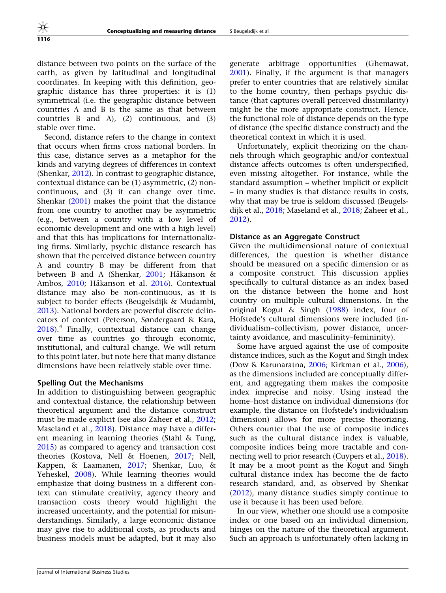distance between two points on the surface of the earth, as given by latitudinal and longitudinal coordinates. In keeping with this definition, geographic distance has three properties: it is (1) symmetrical (i.e. the geographic distance between countries A and B is the same as that between countries B and A), (2) continuous, and (3) stable over time.

Second, distance refers to the change in context that occurs when firms cross national borders. In this case, distance serves as a metaphor for the kinds and varying degrees of differences in context (Shenkar, [2012\)](#page-18-0). In contrast to geographic distance, contextual distance can be (1) asymmetric, (2) noncontinuous, and (3) it can change over time. Shenkar ([2001\)](#page-18-0) makes the point that the distance from one country to another may be asymmetric (e.g., between a country with a low level of economic development and one with a high level) and that this has implications for internationalizing firms. Similarly, psychic distance research has shown that the perceived distance between country A and country B may be different from that between B and A (Shenkar,  $2001$ ; Håkanson & Ambos, [2010](#page-17-0); Håkanson et al. [2016\)](#page-17-0). Contextual distance may also be non-continuous, as it is subject to border effects (Beugelsdijk & Mudambi, [2013\)](#page-16-0). National borders are powerful discrete delineators of context (Peterson, Søndergaard & Kara,  $2018$ <sup>4</sup>. Finally, contextual distance can change over time as countries go through economic, institutional, and cultural change. We will return to this point later, but note here that many distance dimensions have been relatively stable over time.

#### Spelling Out the Mechanisms

In addition to distinguishing between geographic and contextual distance, the relationship between theoretical argument and the distance construct must be made explicit (see also Zaheer et al., [2012;](#page-19-0) Maseland et al., [2018\)](#page-18-0). Distance may have a different meaning in learning theories (Stahl & Tung, [2015\)](#page-19-0) as compared to agency and transaction cost theories (Kostova, Nell & Hoenen, [2017](#page-17-0); Nell, Kappen, & Laamanen, [2017](#page-18-0); Shenkar, Luo, & Yeheskel, [2008\)](#page-18-0). While learning theories would emphasize that doing business in a different context can stimulate creativity, agency theory and transaction costs theory would highlight the increased uncertainty, and the potential for misunderstandings. Similarly, a large economic distance may give rise to additional costs, as products and business models must be adapted, but it may also

generate arbitrage opportunities (Ghemawat, [2001\)](#page-17-0). Finally, if the argument is that managers prefer to enter countries that are relatively similar to the home country, then perhaps psychic distance (that captures overall perceived dissimilarity) might be the more appropriate construct. Hence, the functional role of distance depends on the type of distance (the specific distance construct) and the theoretical context in which it is used.

Unfortunately, explicit theorizing on the channels through which geographic and/or contextual distance affects outcomes is often underspecified, even missing altogether. For instance, while the standard assumption – whether implicit or explicit – in many studies is that distance results in costs, why that may be true is seldom discussed (Beugelsdijk et al., [2018;](#page-16-0) Maseland et al., [2018](#page-18-0); Zaheer et al., [2012\)](#page-19-0).

#### Distance as an Aggregate Construct

Given the multidimensional nature of contextual differences, the question is whether distance should be measured on a specific dimension or as a composite construct. This discussion applies specifically to cultural distance as an index based on the distance between the home and host country on multiple cultural dimensions. In the original Kogut & Singh ([1988\)](#page-17-0) index, four of Hofstede's cultural dimensions were included (individualism–collectivism, power distance, uncertainty avoidance, and masculinity–femininity).

Some have argued against the use of composite distance indices, such as the Kogut and Singh index (Dow & Karunaratna, [2006](#page-17-0); Kirkman et al., [2006](#page-17-0)), as the dimensions included are conceptually different, and aggregating them makes the composite index imprecise and noisy. Using instead the home–host distance on individual dimensions (for example, the distance on Hofstede's individualism dimension) allows for more precise theorizing. Others counter that the use of composite indices such as the cultural distance index is valuable, composite indices being more tractable and connecting well to prior research (Cuypers et al., [2018](#page-16-0)). It may be a moot point as the Kogut and Singh cultural distance index has become the de facto research standard, and, as observed by Shenkar [\(2012](#page-18-0)), many distance studies simply continue to use it because it has been used before.

In our view, whether one should use a composite index or one based on an individual dimension, hinges on the nature of the theoretical argument. Such an approach is unfortunately often lacking in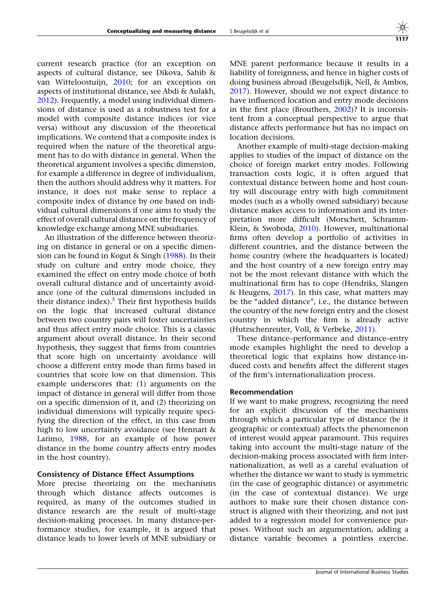current research practice (for an exception on aspects of cultural distance, see Dikova, Sahib & van Witteloostuijn, [2010](#page-17-0); for an exception on aspects of institutional distance, see Abdi & Aulakh, [2012\)](#page-16-0). Frequently, a model using individual dimensions of distance is used as a robustness test for a model with composite distance indices (or vice versa) without any discussion of the theoretical implications. We contend that a composite index is required when the nature of the theoretical argument has to do with distance in general. When the theoretical argument involves a specific dimension, for example a difference in degree of individualism, then the authors should address why it matters. For instance, it does not make sense to replace a composite index of distance by one based on individual cultural dimensions if one aims to study the effect of overall cultural distance on the frequency of knowledge exchange among MNE subsidiaries.

An illustration of the difference between theorizing on distance in general or on a specific dimension can be found in Kogut & Singh [\(1988](#page-17-0)). In their study on culture and entry mode choice, they examined the effect on entry mode choice of both overall cultural distance and of uncertainty avoidance (one of the cultural dimensions included in their distance index).<sup>5</sup> Their first hypothesis builds on the logic that increased cultural distance between two country pairs will foster uncertainties and thus affect entry mode choice. This is a classic argument about overall distance. In their second hypothesis, they suggest that firms from countries that score high on uncertainty avoidance will choose a different entry mode than firms based in countries that score low on that dimension. This example underscores that: (1) arguments on the impact of distance in general will differ from those on a specific dimension of it, and (2) theorizing on individual dimensions will typically require specifying the direction of the effect, in this case from high to low uncertainty avoidance (see Hennart & Larimo, [1988](#page-17-0), for an example of how power distance in the home country affects entry modes in the host country).

#### Consistency of Distance Effect Assumptions

More precise theorizing on the mechanisms through which distance affects outcomes is required, as many of the outcomes studied in distance research are the result of multi-stage decision-making processes. In many distance-performance studies, for example, it is argued that distance leads to lower levels of MNE subsidiary or MNE parent performance because it results in a liability of foreignness, and hence in higher costs of doing business abroad (Beugelsdijk, Nell, & Ambos, [2017\)](#page-16-0). However, should we not expect distance to have influenced location and entry mode decisions in the first place (Brouthers, [2002](#page-16-0))? It is inconsistent from a conceptual perspective to argue that distance affects performance but has no impact on location decisions.

Another example of multi-stage decision-making applies to studies of the impact of distance on the choice of foreign market entry modes. Following transaction costs logic, it is often argued that contextual distance between home and host country will discourage entry with high commitment modes (such as a wholly owned subsidiary) because distance makes access to information and its interpretation more difficult (Morschett, Schramm-Klein, & Swoboda, [2010](#page-18-0)). However, multinational firms often develop a portfolio of activities in different countries, and the distance between the home country (where the headquarters is located) and the host country of a new foreign entry may not be the most relevant distance with which the multinational firm has to cope (Hendriks, Slangen & Heugens, [2017\)](#page-17-0). In this case, what matters may be the ''added distance'', i.e., the distance between the country of the new foreign entry and the closest country in which the firm is already active (Hutzschenreuter, Voll, & Verbeke, [2011](#page-17-0)).

These distance–performance and distance–entry mode examples highlight the need to develop a theoretical logic that explains how distance-induced costs and benefits affect the different stages of the firm's internationalization process.

#### Recommendation

If we want to make progress, recognizing the need for an explicit discussion of the mechanisms through which a particular type of distance (be it geographic or contextual) affects the phenomenon of interest would appear paramount. This requires taking into account the multi-stage nature of the decision-making process associated with firm internationalization, as well as a careful evaluation of whether the distance we want to study is symmetric (in the case of geographic distance) or asymmetric (in the case of contextual distance). We urge authors to make sure their chosen distance construct is aligned with their theorizing, and not just added to a regression model for convenience purposes. Without such an argumentation, adding a distance variable becomes a pointless exercise.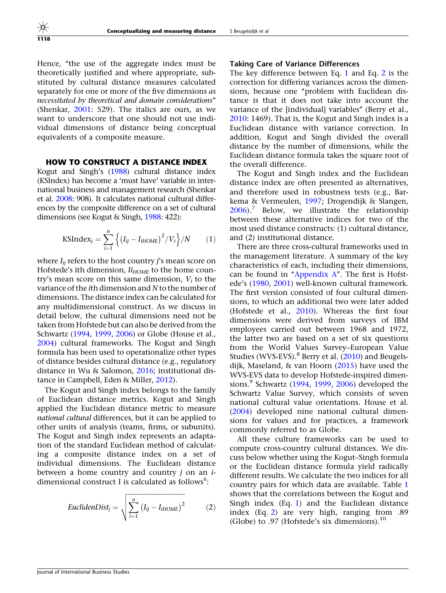<span id="page-5-0"></span>Hence, "the use of the aggregate index must be theoretically justified and where appropriate, substituted by cultural distance measures calculated separately for one or more of the five dimensions as necessitated by theoretical and domain considerations'' (Shenkar, [2001:](#page-18-0) 529). The italics are ours, as we want to underscore that one should not use individual dimensions of distance being conceptual equivalents of a composite measure.

#### HOW TO CONSTRUCT A DISTANCE INDEX

Kogut and Singh's ([1988\)](#page-17-0) cultural distance index (KSIndex) has become a 'must have' variable in international business and management research (Shenkar et al. [2008](#page-18-0): 908). It calculates national cultural differences by the composite difference on a set of cultural dimensions (see Kogut & Singh, [1988:](#page-17-0) 422):

$$
\text{KSIndex}_j = \sum_{i=1}^n \left\{ \left( I_{ij} - I_{\text{HOME}} \right)^2 / V_i \right\} / N \qquad (1)
$$

where  $I_{ij}$  refers to the host country j's mean score on Hofstede's ith dimension,  $I_{HOME}$  to the home country's mean score on this same dimension,  $V_i$  to the variance of the ith dimension and N to the number of dimensions. The distance index can be calculated for any multidimensional construct. As we discuss in detail below, the cultural dimensions need not be taken from Hofstede but can also be derived from the Schwartz [\(1994](#page-18-0), [1999,](#page-18-0) [2006](#page-18-0)) or Globe (House et al., [2004](#page-17-0)) cultural frameworks. The Kogut and Singh formula has been used to operationalize other types of distance besides cultural distance (e.g., regulatory distance in Wu & Salomon, [2016](#page-19-0); institutional distance in Campbell, Eden & Miller, [2012\)](#page-16-0).

The Kogut and Singh index belongs to the family of Euclidean distance metrics. Kogut and Singh applied the Euclidean distance metric to measure national cultural differences, but it can be applied to other units of analysis (teams, firms, or subunits). The Kogut and Singh index represents an adaptation of the standard Euclidean method of calculating a composite distance index on a set of individual dimensions. The Euclidean distance between a home country and country  $j$  on an  $i$ dimensional construct I is calculated as follows<sup>6</sup>:

$$
EuclideanDist_j = \sqrt{\sum_{i=1}^{n} (I_{ij} - I_{iHOME})^2}
$$
 (2)

#### Taking Care of Variance Differences

The key difference between Eq. 1 and Eq. 2 is the correction for differing variances across the dimensions, because one ''problem with Euclidean distance is that it does not take into account the variance of the [individual] variables'' (Berry et al., [2010:](#page-16-0) 1469). That is, the Kogut and Singh index is a Euclidean distance with variance correction. In addition, Kogut and Singh divided the overall distance by the number of dimensions, while the Euclidean distance formula takes the square root of the overall difference.

The Kogut and Singh index and the Euclidean distance index are often presented as alternatives, and therefore used in robustness tests (e.g., Barkema & Vermeulen, [1997;](#page-16-0) Drogendijk & Slangen,  $2006$ ).<sup>7</sup> Below, we illustrate the relationship between these alternative indices for two of the most used distance constructs: (1) cultural distance, and (2) institutional distance.

There are three cross-cultural frameworks used in the management literature. A summary of the key characteristics of each, including their dimensions, can be found in ''Appendix A''. The first is Hofstede's ([1980](#page-17-0), [2001](#page-17-0)) well-known cultural framework. The first version consisted of four cultural dimensions, to which an additional two were later added (Hofstede et al., [2010](#page-17-0)). Whereas the first four dimensions were derived from surveys of IBM employees carried out between 1968 and 1972, the latter two are based on a set of six questions from the World Values Survey–European Value Studies (WVS-EVS).<sup>8</sup> Berry et al. [\(2010](#page-16-0)) and Beugelsdijk, Maseland, & van Hoorn ([2015](#page-16-0)) have used the WVS-EVS data to develop Hofstede-inspired dimen-sions.<sup>9</sup> Schwartz [\(1994](#page-18-0), [1999,](#page-18-0) [2006\)](#page-18-0) developed the Schwartz Value Survey, which consists of seven national cultural value orientations. House et al. [\(2004](#page-17-0)) developed nine national cultural dimensions for values and for practices, a framework commonly referred to as Globe.

All these culture frameworks can be used to compute cross-country cultural distances. We discuss below whether using the Kogut–Singh formula or the Euclidean distance formula yield radically different results. We calculate the two indices for all country pairs for which data are available. Table [1](#page-7-0) shows that the correlations between the Kogut and Singh index (Eq. 1) and the Euclidean distance index (Eq. 2) are very high, ranging from .89 (Globe) to .97 (Hofstede's six dimensions).<sup>10</sup>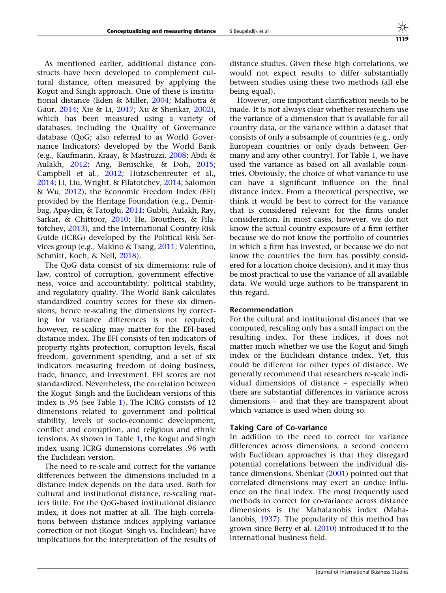As mentioned earlier, additional distance constructs have been developed to complement cultural distance, often measured by applying the Kogut and Singh approach. One of these is institutional distance (Eden & Miller, [2004;](#page-17-0) Malhotra & Gaur, [2014](#page-18-0); Xie & Li, [2017;](#page-19-0) Xu & Shenkar, [2002\)](#page-19-0), which has been measured using a variety of databases, including the Quality of Governance database (QoG; also referred to as World Governance Indicators) developed by the World Bank (e.g., Kaufmann, Kraay, & Mastruzzi, [2008;](#page-17-0) Abdi & Aulakh, [2012;](#page-16-0) Ang, Benischke, & Doh, [2015;](#page-16-0) Campbell et al., [2012;](#page-16-0) Hutzschenreuter et al., [2014;](#page-17-0) Li, Liu, Wright, & Filatotchev, [2014;](#page-18-0) Salomon & Wu, [2012](#page-18-0)), the Economic Freedom Index (EFI) provided by the Heritage Foundation (e.g., Demirbag, Apaydin, & Tatoglu, [2011](#page-16-0); Gubbi, Aulakh, Ray, Sarkar, & Chittoor, [2010](#page-17-0); He, Brouthers, & Filatotchev, [2013\)](#page-17-0), and the International Country Risk Guide (ICRG) developed by the Political Risk Services group (e.g., Makino & Tsang, [2011;](#page-18-0) Valentino, Schmitt, Koch, & Nell, [2018](#page-19-0)).

The QoG data consist of six dimensions: rule of law, control of corruption, government effectiveness, voice and accountability, political stability, and regulatory quality. The World Bank calculates standardized country scores for these six dimensions; hence re-scaling the dimensions by correcting for variance differences is not required; however, re-scaling may matter for the EFI-based distance index. The EFI consists of ten indicators of property rights protection, corruption levels, fiscal freedom, government spending, and a set of six indicators measuring freedom of doing business, trade, finance, and investment. EFI scores are not standardized. Nevertheless, the correlation between the Kogut–Singh and the Euclidean versions of this index is .95 (see Table [1\)](#page-7-0). The ICRG consists of 12 dimensions related to government and political stability, levels of socio-economic development, conflict and corruption, and religious and ethnic tensions. As shown in Table [1,](#page-7-0) the Kogut and Singh index using ICRG dimensions correlates .96 with the Euclidean version.

The need to re-scale and correct for the variance differences between the dimensions included in a distance index depends on the data used. Both for cultural and institutional distance, re-scaling matters little. For the QoG-based institutional distance index, it does not matter at all. The high correlations between distance indices applying variance correction or not (Kogut–Singh vs. Euclidean) have implications for the interpretation of the results of distance studies. Given these high correlations, we would not expect results to differ substantially between studies using these two methods (all else being equal).

However, one important clarification needs to be made. It is not always clear whether researchers use the variance of a dimension that is available for all country data, or the variance within a dataset that consists of only a subsample of countries (e.g., only European countries or only dyads between Germany and any other country). For Table [1](#page-7-0), we have used the variance as based on all available countries. Obviously, the choice of what variance to use can have a significant influence on the final distance index. From a theoretical perspective, we think it would be best to correct for the variance that is considered relevant for the firms under consideration. In most cases, however, we do not know the actual country exposure of a firm (either because we do not know the portfolio of countries in which a firm has invested, or because we do not know the countries the firm has possibly considered for a location choice decision), and it may thus be most practical to use the variance of all available data. We would urge authors to be transparent in this regard.

#### Recommendation

For the cultural and institutional distances that we computed, rescaling only has a small impact on the resulting index. For these indices, it does not matter much whether we use the Kogut and Singh index or the Euclidean distance index. Yet, this could be different for other types of distance. We generally recommend that researchers re-scale individual dimensions of distance – especially when there are substantial differences in variance across dimensions – and that they are transparent about which variance is used when doing so.

#### Taking Care of Co-variance

In addition to the need to correct for variance differences across dimensions, a second concern with Euclidean approaches is that they disregard potential correlations between the individual distance dimensions. Shenkar ([2001\)](#page-18-0) pointed out that correlated dimensions may exert an undue influence on the final index. The most frequently used methods to correct for co-variance across distance dimensions is the Mahalanobis index (Mahalanobis, [1937](#page-18-0)). The popularity of this method has grown since Berry et al. ([2010](#page-16-0)) introduced it to the international business field.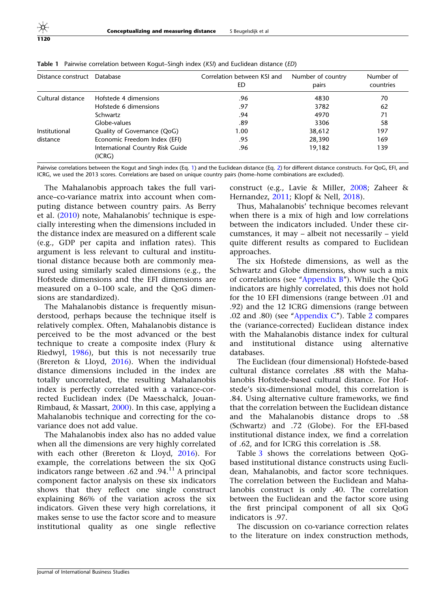| Distance construct | Database                                   | Correlation between KSI and<br>ED | Number of country<br>pairs | Number of<br>countries |
|--------------------|--------------------------------------------|-----------------------------------|----------------------------|------------------------|
| Cultural distance  | Hofstede 4 dimensions                      | .96                               | 4830                       | 70                     |
|                    | Hofstede 6 dimensions                      | .97                               | 3782                       | 62                     |
|                    | Schwartz                                   | .94                               | 4970                       | 71                     |
|                    | Globe-values                               | .89                               | 3306                       | 58                     |
| Institutional      | Quality of Governance (QoG)                | 1.00                              | 38,612                     | 197                    |
| distance           | Economic Freedom Index (EFI)               | .95                               | 28,390                     | 169                    |
|                    | International Country Risk Guide<br>(ICRG) | .96                               | 19,182                     | 139                    |

<span id="page-7-0"></span>**Table 1** Pairwise correlation between Kogut–Singh index  $(KS)$  and Euclidean distance  $(ED)$ 

Pairwise correlations between the Kogut and Singh index (Eq. [1\)](#page-5-0) and the Euclidean distance (Eq. [2](#page-5-0)) for different distance constructs. For QoG, EFI, and ICRG, we used the 2013 scores. Correlations are based on unique country pairs (home–home combinations are excluded).

The Mahalanobis approach takes the full variance–co-variance matrix into account when computing distance between country pairs. As Berry et al. [\(2010\)](#page-16-0) note, Mahalanobis' technique is especially interesting when the dimensions included in the distance index are measured on a different scale (e.g., GDP per capita and inflation rates). This argument is less relevant to cultural and institutional distance because both are commonly measured using similarly scaled dimensions (e.g., the Hofstede dimensions and the EFI dimensions are measured on a 0–100 scale, and the QoG dimensions are standardized).

The Mahalanobis distance is frequently misunderstood, perhaps because the technique itself is relatively complex. Often, Mahalanobis distance is perceived to be the most advanced or the best technique to create a composite index (Flury & Riedwyl, [1986\)](#page-17-0), but this is not necessarily true (Brereton & Lloyd, [2016\)](#page-16-0). When the individual distance dimensions included in the index are totally uncorrelated, the resulting Mahalanobis index is perfectly correlated with a variance-corrected Euclidean index (De Maesschalck, Jouan-Rimbaud, & Massart, [2000](#page-16-0)). In this case, applying a Mahalanobis technique and correcting for the covariance does not add value.

The Mahalanobis index also has no added value when all the dimensions are very highly correlated with each other (Brereton & Lloyd, [2016](#page-16-0)). For example, the correlations between the six QoG indicators range between .62 and .94.<sup>11</sup> A principal component factor analysis on these six indicators shows that they reflect one single construct explaining 86% of the variation across the six indicators. Given these very high correlations, it makes sense to use the factor score and to measure institutional quality as one single reflective

construct (e.g., Lavie & Miller, [2008;](#page-17-0) Zaheer & Hernandez, [2011;](#page-19-0) Klopf & Nell, [2018](#page-17-0)).

Thus, Mahalanobis' technique becomes relevant when there is a mix of high and low correlations between the indicators included. Under these circumstances, it may – albeit not necessarily – yield quite different results as compared to Euclidean approaches.

The six Hofstede dimensions, as well as the Schwartz and Globe dimensions, show such a mix of correlations (see ''Appendix B''). While the QoG indicators are highly correlated, this does not hold for the 10 EFI dimensions (range between .01 and .92) and the 12 ICRG dimensions (range between .02 and .80) (see "[Appendix C](#page-22-0)"). Table [2](#page-9-0) compares the (variance-corrected) Euclidean distance index with the Mahalanobis distance index for cultural and institutional distance using alternative databases.

The Euclidean (four dimensional) Hofstede-based cultural distance correlates .88 with the Mahalanobis Hofstede-based cultural distance. For Hofstede's six-dimensional model, this correlation is .84. Using alternative culture frameworks, we find that the correlation between the Euclidean distance and the Mahalanobis distance drops to .58 (Schwartz) and .72 (Globe). For the EFI-based institutional distance index, we find a correlation of .62, and for ICRG this correlation is .58.

Table [3](#page-9-0) shows the correlations between QoGbased institutional distance constructs using Euclidean, Mahalanobis, and factor score techniques. The correlation between the Euclidean and Mahalanobis construct is only .40. The correlation between the Euclidean and the factor score using the first principal component of all six QoG indicators is .97.

The discussion on co-variance correction relates to the literature on index construction methods,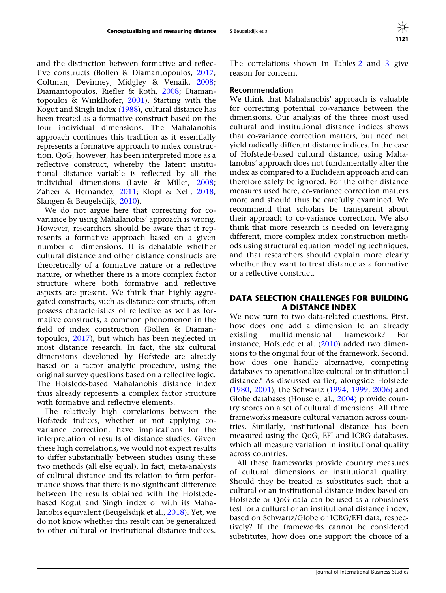and the distinction between formative and reflective constructs (Bollen & Diamantopoulos, [2017;](#page-16-0) Coltman, Devinney, Midgley & Venaik, [2008;](#page-16-0) Diamantopoulos, Riefler & Roth, [2008](#page-16-0); Diamantopoulos & Winklhofer, [2001](#page-16-0)). Starting with the Kogut and Singh index ([1988](#page-17-0)), cultural distance has been treated as a formative construct based on the four individual dimensions. The Mahalanobis approach continues this tradition as it essentially represents a formative approach to index construction. QoG, however, has been interpreted more as a reflective construct, whereby the latent institutional distance variable is reflected by all the individual dimensions (Lavie & Miller, [2008;](#page-17-0) Zaheer & Hernandez, [2011](#page-19-0); Klopf & Nell, [2018;](#page-17-0) Slangen & Beugelsdijk, [2010\)](#page-18-0).

We do not argue here that correcting for covariance by using Mahalanobis' approach is wrong. However, researchers should be aware that it represents a formative approach based on a given number of dimensions. It is debatable whether cultural distance and other distance constructs are theoretically of a formative nature or a reflective nature, or whether there is a more complex factor structure where both formative and reflective aspects are present. We think that highly aggregated constructs, such as distance constructs, often possess characteristics of reflective as well as formative constructs, a common phenomenon in the field of index construction (Bollen & Diamantopoulos, [2017](#page-16-0)), but which has been neglected in most distance research. In fact, the six cultural dimensions developed by Hofstede are already based on a factor analytic procedure, using the original survey questions based on a reflective logic. The Hofstede-based Mahalanobis distance index thus already represents a complex factor structure with formative and reflective elements.

The relatively high correlations between the Hofstede indices, whether or not applying covariance correction, have implications for the interpretation of results of distance studies. Given these high correlations, we would not expect results to differ substantially between studies using these two methods (all else equal). In fact, meta-analysis of cultural distance and its relation to firm performance shows that there is no significant difference between the results obtained with the Hofstedebased Kogut and Singh index or with its Mahalanobis equivalent (Beugelsdijk et al., [2018](#page-16-0)). Yet, we do not know whether this result can be generalized to other cultural or institutional distance indices.

The correlations shown in Tables [2](#page-9-0) and [3](#page-9-0) give reason for concern.

### Recommendation

We think that Mahalanobis' approach is valuable for correcting potential co-variance between the dimensions. Our analysis of the three most used cultural and institutional distance indices shows that co-variance correction matters, but need not yield radically different distance indices. In the case of Hofstede-based cultural distance, using Mahalanobis' approach does not fundamentally alter the index as compared to a Euclidean approach and can therefore safely be ignored. For the other distance measures used here, co-variance correction matters more and should thus be carefully examined. We recommend that scholars be transparent about their approach to co-variance correction. We also think that more research is needed on leveraging different, more complex index construction methods using structural equation modeling techniques, and that researchers should explain more clearly whether they want to treat distance as a formative or a reflective construct.

#### DATA SELECTION CHALLENGES FOR BUILDING A DISTANCE INDEX

We now turn to two data-related questions. First, how does one add a dimension to an already existing multidimensional framework? For instance, Hofstede et al. ([2010](#page-17-0)) added two dimensions to the original four of the framework. Second, how does one handle alternative, competing databases to operationalize cultural or institutional distance? As discussed earlier, alongside Hofstede [\(1980](#page-17-0), [2001](#page-17-0)), the Schwartz ([1994,](#page-18-0) [1999,](#page-18-0) [2006](#page-18-0)) and Globe databases (House et al., [2004](#page-17-0)) provide country scores on a set of cultural dimensions. All three frameworks measure cultural variation across countries. Similarly, institutional distance has been measured using the QoG, EFI and ICRG databases, which all measure variation in institutional quality across countries.

All these frameworks provide country measures of cultural dimensions or institutional quality. Should they be treated as substitutes such that a cultural or an institutional distance index based on Hofstede or QoG data can be used as a robustness test for a cultural or an institutional distance index, based on Schwartz/Globe or ICRG/EFI data, respectively? If the frameworks cannot be considered substitutes, how does one support the choice of a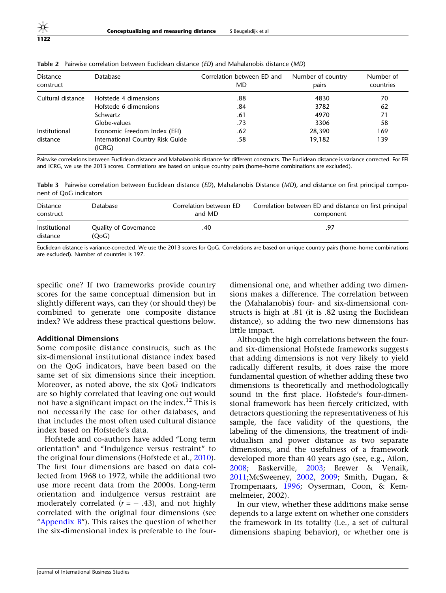| <b>Distance</b><br>construct | Database                                   | Correlation between ED and<br>MD. | Number of country<br>pairs | Number of<br>countries |
|------------------------------|--------------------------------------------|-----------------------------------|----------------------------|------------------------|
| Cultural distance            | Hofstede 4 dimensions                      | .88                               | 4830                       | 70                     |
|                              | Hofstede 6 dimensions                      | .84                               | 3782                       | 62                     |
|                              | Schwartz                                   | .61                               | 4970                       | 71                     |
|                              | Globe-values                               | .73                               | 3306                       | 58                     |
| Institutional                | Economic Freedom Index (EFI)               | .62                               | 28,390                     | 169                    |
| distance                     | International Country Risk Guide<br>(ICRG) | .58                               | 19.182                     | 139                    |

Table 2 Pairwise correlation between Euclidean distance (ED) and Mahalanobis distance (MD)

Pairwise correlations between Euclidean distance and Mahalanobis distance for different constructs. The Euclidean distance is variance corrected. For EFI and ICRG, we use the 2013 scores. Correlations are based on unique country pairs (home–home combinations are excluded).

Table 3 Pairwise correlation between Euclidean distance (ED), Mahalanobis Distance (MD), and distance on first principal component of QoG indicators

| Distance                  | Database                       | Correlation between ED | Correlation between ED and distance on first principal |
|---------------------------|--------------------------------|------------------------|--------------------------------------------------------|
| construct                 |                                | and MD                 | component                                              |
| Institutional<br>distance | Quality of Governance<br>(QoG) | .40                    | .97                                                    |

Euclidean distance is variance-corrected. We use the 2013 scores for QoG. Correlations are based on unique country pairs (home–home combinations are excluded). Number of countries is 197.

specific one? If two frameworks provide country scores for the same conceptual dimension but in slightly different ways, can they (or should they) be combined to generate one composite distance index? We address these practical questions below.

#### Additional Dimensions

Some composite distance constructs, such as the six-dimensional institutional distance index based on the QoG indicators, have been based on the same set of six dimensions since their inception. Moreover, as noted above, the six QoG indicators are so highly correlated that leaving one out would not have a significant impact on the index.<sup>12</sup> This is not necessarily the case for other databases, and that includes the most often used cultural distance index based on Hofstede's data.

Hofstede and co-authors have added ''Long term orientation'' and ''Indulgence versus restraint'' to the original four dimensions (Hofstede et al., [2010\)](#page-17-0). The first four dimensions are based on data collected from 1968 to 1972, while the additional two use more recent data from the 2000s. Long-term orientation and indulgence versus restraint are moderately correlated  $(r = -.43)$ , and not highly correlated with the original four dimensions (see "Appendix  $B$ "). This raises the question of whether the six-dimensional index is preferable to the fourdimensional one, and whether adding two dimensions makes a difference. The correlation between the (Mahalanobis) four- and six-dimensional constructs is high at .81 (it is .82 using the Euclidean distance), so adding the two new dimensions has little impact.

Although the high correlations between the fourand six-dimensional Hofstede frameworks suggests that adding dimensions is not very likely to yield radically different results, it does raise the more fundamental question of whether adding these two dimensions is theoretically and methodologically sound in the first place. Hofstede's four-dimensional framework has been fiercely criticized, with detractors questioning the representativeness of his sample, the face validity of the questions, the labeling of the dimensions, the treatment of individualism and power distance as two separate dimensions, and the usefulness of a framework developed more than 40 years ago (see, e.g., Ailon, [2008;](#page-16-0) Baskerville, [2003;](#page-16-0) Brewer & Venaik, [2011;](#page-16-0)McSweeney, [2002](#page-18-0), [2009](#page-18-0); Smith, Dugan, & Trompenaars, [1996](#page-18-0); Oyserman, Coon, & Kemmelmeier, 2002).

In our view, whether these additions make sense depends to a large extent on whether one considers the framework in its totality (i.e., a set of cultural dimensions shaping behavior), or whether one is

<span id="page-9-0"></span>1122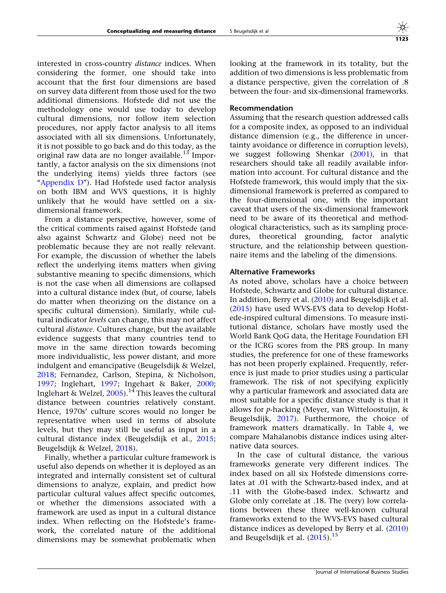interested in cross-country distance indices. When considering the former, one should take into account that the first four dimensions are based on survey data different from those used for the two additional dimensions. Hofstede did not use the methodology one would use today to develop cultural dimensions, nor follow item selection procedures, nor apply factor analysis to all items associated with all six dimensions. Unfortunately, it is not possible to go back and do this today, as the original raw data are no longer available.<sup>13</sup> Importantly, a factor analysis on the six dimensions (not the underlying items) yields three factors (see "Appendix D"). Had Hofstede used factor analysis on both IBM and WVS questions, it is highly unlikely that he would have settled on a sixdimensional framework.

From a distance perspective, however, some of the critical comments raised against Hofstede (and also against Schwartz and Globe) need not be problematic because they are not really relevant. For example, the discussion of whether the labels reflect the underlying items matters when giving substantive meaning to specific dimensions, which is not the case when all dimensions are collapsed into a cultural distance index (but, of course, labels do matter when theorizing on the distance on a specific cultural dimension). Similarly, while cultural indicator levels can change, this may not affect cultural distance. Cultures change, but the available evidence suggests that many countries tend to move in the same direction towards becoming more individualistic, less power distant, and more indulgent and emancipative (Beugelsdijk & Welzel, [2018;](#page-16-0) Fernandez, Carlson, Stepina, & Nicholson, [1997;](#page-17-0) Inglehart, [1997](#page-17-0); Ingehart & Baker, [2000;](#page-17-0) Inglehart & Welzel,  $2005$ ).<sup>14</sup> This leaves the cultural distance between countries relatively constant. Hence, 1970s' culture scores would no longer be representative when used in terms of absolute levels, but they may still be useful as input in a cultural distance index (Beugelsdijk et al., [2015;](#page-16-0) Beugelsdijk & Welzel, [2018](#page-16-0)).

Finally, whether a particular culture framework is useful also depends on whether it is deployed as an integrated and internally consistent set of cultural dimensions to analyze, explain, and predict how particular cultural values affect specific outcomes, or whether the dimensions associated with a framework are used as input in a cultural distance index. When reflecting on the Hofstede's framework, the correlated nature of the additional dimensions may be somewhat problematic when

looking at the framework in its totality, but the addition of two dimensions is less problematic from a distance perspective, given the correlation of .8 between the four- and six-dimensional frameworks.

#### Recommendation

Assuming that the research question addressed calls for a composite index, as opposed to an individual distance dimension (e.g., the difference in uncertainty avoidance or difference in corruption levels), we suggest following Shenkar [\(2001](#page-18-0)), in that researchers should take all readily available information into account. For cultural distance and the Hofstede framework, this would imply that the sixdimensional framework is preferred as compared to the four-dimensional one, with the important caveat that users of the six-dimensional framework need to be aware of its theoretical and methodological characteristics, such as its sampling procedures, theoretical grounding, factor analytic structure, and the relationship between questionnaire items and the labeling of the dimensions.

#### Alternative Frameworks

As noted above, scholars have a choice between Hofstede, Schwartz and Globe for cultural distance. In addition, Berry et al. [\(2010](#page-16-0)) and Beugelsdijk et al. [\(2015](#page-16-0)) have used WVS-EVS data to develop Hofstede-inspired cultural dimensions. To measure institutional distance, scholars have mostly used the World Bank QoG data, the Heritage Foundation EFI or the ICRG scores from the PRS group. In many studies, the preference for one of these frameworks has not been properly explained. Frequently, reference is just made to prior studies using a particular framework. The risk of not specifying explicitly why a particular framework and associated data are most suitable for a specific distance study is that it allows for p-hacking (Meyer, van Witteloostuijn, & Beugelsdijk, [2017\)](#page-18-0). Furthermore, the choice of framework matters dramatically. In Table [4](#page-12-0), we compare Mahalanobis distance indices using alternative data sources.

In the case of cultural distance, the various frameworks generate very different indices. The index based on all six Hofstede dimensions correlates at .01 with the Schwartz-based index, and at .11 with the Globe-based index. Schwartz and Globe only correlate at .18. The (very) low correlations between these three well-known cultural frameworks extend to the WVS-EVS based cultural distance indices as developed by Berry et al. [\(2010](#page-16-0)) and Beugelsdijk et al.  $(2015).^{15}$  $(2015).^{15}$  $(2015).^{15}$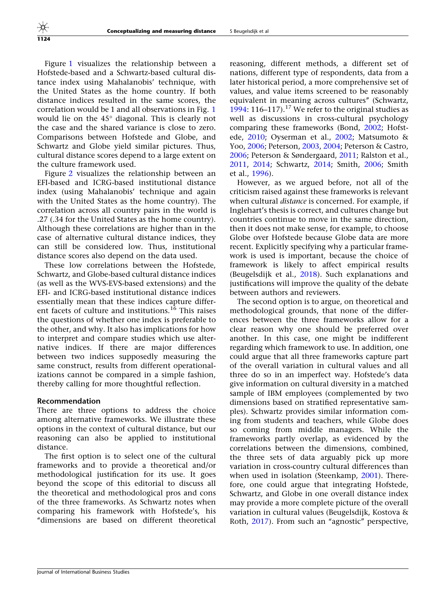Figure [1](#page-12-0) visualizes the relationship between a Hofstede-based and a Schwartz-based cultural distance index using Mahalanobis' technique, with the United States as the home country. If both distance indices resulted in the same scores, the correlation would be 1 and all observations in Fig. [1](#page-12-0) would lie on the  $45^\circ$  diagonal. This is clearly not the case and the shared variance is close to zero. Comparisons between Hofstede and Globe, and Schwartz and Globe yield similar pictures. Thus, cultural distance scores depend to a large extent on the culture framework used.

Figure [2](#page-12-0) visualizes the relationship between an EFI-based and ICRG-based institutional distance index (using Mahalanobis' technique and again with the United States as the home country). The correlation across all country pairs in the world is .27 (.34 for the United States as the home country). Although these correlations are higher than in the case of alternative cultural distance indices, they can still be considered low. Thus, institutional distance scores also depend on the data used.

These low correlations between the Hofstede, Schwartz, and Globe-based cultural distance indices (as well as the WVS-EVS-based extensions) and the EFI- and ICRG-based institutional distance indices essentially mean that these indices capture different facets of culture and institutions.<sup>16</sup> This raises the questions of whether one index is preferable to the other, and why. It also has implications for how to interpret and compare studies which use alternative indices. If there are major differences between two indices supposedly measuring the same construct, results from different operationalizations cannot be compared in a simple fashion, thereby calling for more thoughtful reflection.

#### Recommendation

There are three options to address the choice among alternative frameworks. We illustrate these options in the context of cultural distance, but our reasoning can also be applied to institutional distance.

The first option is to select one of the cultural frameworks and to provide a theoretical and/or methodological justification for its use. It goes beyond the scope of this editorial to discuss all the theoretical and methodological pros and cons of the three frameworks. As Schwartz notes when comparing his framework with Hofstede's, his ''dimensions are based on different theoretical

reasoning, different methods, a different set of nations, different type of respondents, data from a later historical period, a more comprehensive set of values, and value items screened to be reasonably equivalent in meaning across cultures'' (Schwartz, [1994:](#page-18-0) 116–117).<sup>17</sup> We refer to the original studies as well as discussions in cross-cultural psychology comparing these frameworks (Bond, [2002](#page-16-0); Hofstede, [2010;](#page-17-0) Oyserman et al., [2002;](#page-18-0) Matsumoto & Yoo, [2006](#page-18-0); Peterson, [2003,](#page-18-0) [2004;](#page-18-0) Peterson & Castro, [2006;](#page-18-0) Peterson & Søndergaard, [2011](#page-18-0); Ralston et al., [2011,](#page-18-0) [2014;](#page-18-0) Schwartz, [2014](#page-18-0); Smith, [2006](#page-18-0); Smith et al., [1996](#page-18-0)).

However, as we argued before, not all of the criticism raised against these frameworks is relevant when cultural distance is concerned. For example, if Inglehart's thesis is correct, and cultures change but countries continue to move in the same direction, then it does not make sense, for example, to choose Globe over Hofstede because Globe data are more recent. Explicitly specifying why a particular framework is used is important, because the choice of framework is likely to affect empirical results (Beugelsdijk et al., [2018\)](#page-16-0). Such explanations and justifications will improve the quality of the debate between authors and reviewers.

The second option is to argue, on theoretical and methodological grounds, that none of the differences between the three frameworks allow for a clear reason why one should be preferred over another. In this case, one might be indifferent regarding which framework to use. In addition, one could argue that all three frameworks capture part of the overall variation in cultural values and all three do so in an imperfect way. Hofstede's data give information on cultural diversity in a matched sample of IBM employees (complemented by two dimensions based on stratified representative samples). Schwartz provides similar information coming from students and teachers, while Globe does so coming from middle managers. While the frameworks partly overlap, as evidenced by the correlations between the dimensions, combined, the three sets of data arguably pick up more variation in cross-country cultural differences than when used in isolation (Steenkamp, [2001](#page-19-0)). Therefore, one could argue that integrating Hofstede, Schwartz, and Globe in one overall distance index may provide a more complete picture of the overall variation in cultural values (Beugelsdijk, Kostova & Roth, [2017](#page-16-0)). From such an "agnostic" perspective,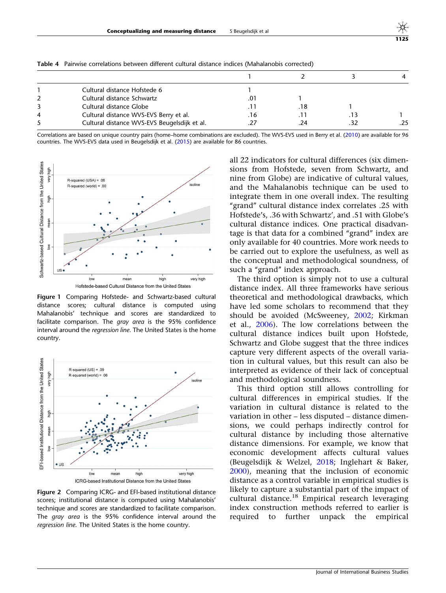|                | Cultural distance Hofstede 6                 |     |     |     |
|----------------|----------------------------------------------|-----|-----|-----|
|                | Cultural distance Schwartz                   | .01 |     |     |
|                | Cultural distance Globe                      |     | .18 |     |
| $\overline{4}$ | Cultural distance WVS-EVS Berry et al.       | .16 |     |     |
|                | Cultural distance WVS-EVS Beugelsdijk et al. |     | 24  | .25 |
|                |                                              |     |     |     |

<span id="page-12-0"></span>Table 4 Pairwise correlations between different cultural distance indices (Mahalanobis corrected)

Correlations are based on unique country pairs (home–home combinations are excluded). The WVS-EVS used in Berry et al. [\(2010](#page-16-0)) are available for 96 countries. The WVS-EVS data used in Beugelsdijk et al. [\(2015](#page-16-0)) are available for 86 countries.



Figure 1 Comparing Hofstede- and Schwartz-based cultural distance scores; cultural distance is computed using Mahalanobis' technique and scores are standardized to facilitate comparison. The gray area is the 95% confidence interval around the regression line. The United States is the home country.



Figure 2 Comparing ICRG- and EFI-based institutional distance scores; institutional distance is computed using Mahalanobis' technique and scores are standardized to facilitate comparison. The gray area is the 95% confidence interval around the regression line. The United States is the home country.

all 22 indicators for cultural differences (six dimensions from Hofstede, seven from Schwartz, and nine from Globe) are indicative of cultural values, and the Mahalanobis technique can be used to integrate them in one overall index. The resulting ''grand'' cultural distance index correlates .25 with Hofstede's, .36 with Schwartz', and .51 with Globe's cultural distance indices. One practical disadvantage is that data for a combined "grand" index are only available for 40 countries. More work needs to be carried out to explore the usefulness, as well as the conceptual and methodological soundness, of such a "grand" index approach.

The third option is simply not to use a cultural distance index. All three frameworks have serious theoretical and methodological drawbacks, which have led some scholars to recommend that they should be avoided (McSweeney, [2002](#page-18-0); Kirkman et al., [2006\)](#page-17-0). The low correlations between the cultural distance indices built upon Hofstede, Schwartz and Globe suggest that the three indices capture very different aspects of the overall variation in cultural values, but this result can also be interpreted as evidence of their lack of conceptual and methodological soundness.

This third option still allows controlling for cultural differences in empirical studies. If the variation in cultural distance is related to the variation in other – less disputed – distance dimensions, we could perhaps indirectly control for cultural distance by including those alternative distance dimensions. For example, we know that economic development affects cultural values (Beugelsdijk & Welzel, [2018;](#page-16-0) Inglehart & Baker, [2000\)](#page-17-0), meaning that the inclusion of economic distance as a control variable in empirical studies is likely to capture a substantial part of the impact of cultural distance.<sup>18</sup> Empirical research leveraging index construction methods referred to earlier is required to further unpack the empirical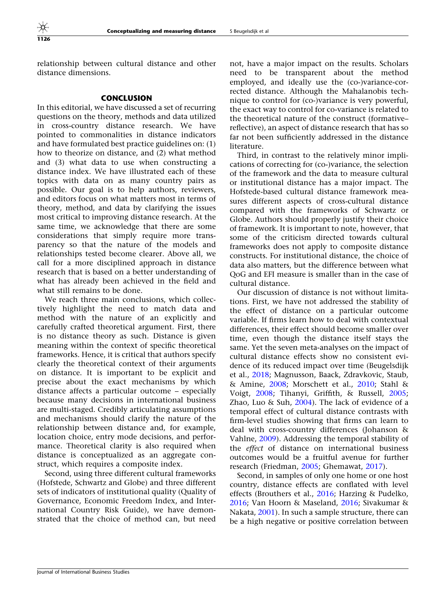relationship between cultural distance and other distance dimensions.

#### **CONCLUSION**

In this editorial, we have discussed a set of recurring questions on the theory, methods and data utilized in cross-country distance research. We have pointed to commonalities in distance indicators and have formulated best practice guidelines on: (1) how to theorize on distance, and (2) what method and (3) what data to use when constructing a distance index. We have illustrated each of these topics with data on as many country pairs as possible. Our goal is to help authors, reviewers, and editors focus on what matters most in terms of theory, method, and data by clarifying the issues most critical to improving distance research. At the same time, we acknowledge that there are some considerations that simply require more transparency so that the nature of the models and relationships tested become clearer. Above all, we call for a more disciplined approach in distance research that is based on a better understanding of what has already been achieved in the field and what still remains to be done.

We reach three main conclusions, which collectively highlight the need to match data and method with the nature of an explicitly and carefully crafted theoretical argument. First, there is no distance theory as such. Distance is given meaning within the context of specific theoretical frameworks. Hence, it is critical that authors specify clearly the theoretical context of their arguments on distance. It is important to be explicit and precise about the exact mechanisms by which distance affects a particular outcome – especially because many decisions in international business are multi-staged. Credibly articulating assumptions and mechanisms should clarify the nature of the relationship between distance and, for example, location choice, entry mode decisions, and performance. Theoretical clarity is also required when distance is conceptualized as an aggregate construct, which requires a composite index.

Second, using three different cultural frameworks (Hofstede, Schwartz and Globe) and three different sets of indicators of institutional quality (Quality of Governance, Economic Freedom Index, and International Country Risk Guide), we have demonstrated that the choice of method can, but need

not, have a major impact on the results. Scholars need to be transparent about the method employed, and ideally use the (co-)variance-corrected distance. Although the Mahalanobis technique to control for (co-)variance is very powerful, the exact way to control for co-variance is related to the theoretical nature of the construct (formative– reflective), an aspect of distance research that has so far not been sufficiently addressed in the distance literature.

Third, in contrast to the relatively minor implications of correcting for (co-)variance, the selection of the framework and the data to measure cultural or institutional distance has a major impact. The Hofstede-based cultural distance framework measures different aspects of cross-cultural distance compared with the frameworks of Schwartz or Globe. Authors should properly justify their choice of framework. It is important to note, however, that some of the criticism directed towards cultural frameworks does not apply to composite distance constructs. For institutional distance, the choice of data also matters, but the difference between what QoG and EFI measure is smaller than in the case of cultural distance.

Our discussion of distance is not without limitations. First, we have not addressed the stability of the effect of distance on a particular outcome variable. If firms learn how to deal with contextual differences, their effect should become smaller over time, even though the distance itself stays the same. Yet the seven meta-analyses on the impact of cultural distance effects show no consistent evidence of its reduced impact over time (Beugelsdijk et al., [2018;](#page-16-0) Magnusson, Baack, Zdravkovic, Staub, & Amine, [2008;](#page-18-0) Morschett et al., [2010](#page-18-0); Stahl & Voigt, [2008;](#page-19-0) Tihanyi, Griffith, & Russell, [2005;](#page-19-0) Zhao, Luo & Suh, [2004\)](#page-19-0). The lack of evidence of a temporal effect of cultural distance contrasts with firm-level studies showing that firms can learn to deal with cross-country differences (Johanson & Vahlne, [2009](#page-17-0)). Addressing the temporal stability of the effect of distance on international business outcomes would be a fruitful avenue for further research (Friedman, [2005](#page-17-0); Ghemawat, [2017](#page-17-0)).

Second, in samples of only one home or one host country, distance effects are conflated with level effects (Brouthers et al., [2016](#page-16-0); Harzing & Pudelko, [2016;](#page-17-0) Van Hoorn & Maseland, [2016;](#page-19-0) Sivakumar & Nakata, [2001\)](#page-18-0). In such a sample structure, there can be a high negative or positive correlation between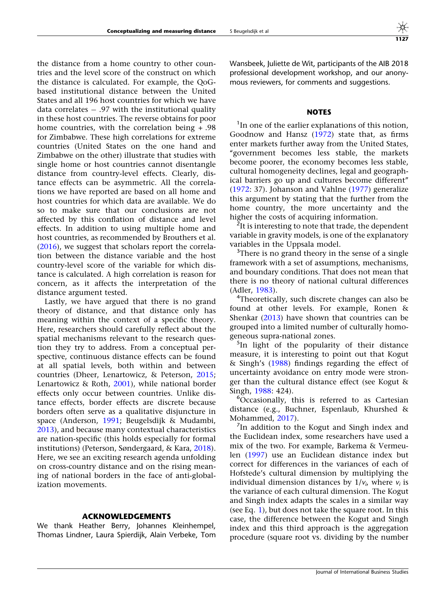the distance from a home country to other countries and the level score of the construct on which the distance is calculated. For example, the QoGbased institutional distance between the United States and all 196 host countries for which we have data correlates  $-$  .97 with the institutional quality in these host countries. The reverse obtains for poor home countries, with the correlation being + .98 for Zimbabwe. These high correlations for extreme countries (United States on the one hand and Zimbabwe on the other) illustrate that studies with single home or host countries cannot disentangle distance from country-level effects. Clearly, distance effects can be asymmetric. All the correlations we have reported are based on all home and host countries for which data are available. We do so to make sure that our conclusions are not affected by this conflation of distance and level effects. In addition to using multiple home and host countries, as recommended by Brouthers et al. [\(2016](#page-16-0)), we suggest that scholars report the correlation between the distance variable and the host country-level score of the variable for which distance is calculated. A high correlation is reason for concern, as it affects the interpretation of the distance argument tested.

Lastly, we have argued that there is no grand theory of distance, and that distance only has meaning within the context of a specific theory. Here, researchers should carefully reflect about the spatial mechanisms relevant to the research question they try to address. From a conceptual perspective, continuous distance effects can be found at all spatial levels, both within and between countries (Dheer, Lenartowicz, & Peterson, [2015;](#page-16-0) Lenartowicz & Roth, [2001\)](#page-17-0), while national border effects only occur between countries. Unlike distance effects, border effects are discrete because borders often serve as a qualitative disjuncture in space (Anderson, [1991;](#page-16-0) Beugelsdijk & Mudambi, [2013\)](#page-16-0), and because many contextual characteristics are nation-specific (this holds especially for formal institutions) (Peterson, Søndergaard, & Kara, [2018\)](#page-18-0). Here, we see an exciting research agenda unfolding on cross-country distance and on the rising meaning of national borders in the face of anti-globalization movements.

#### ACKNOWLEDGEMENTS

We thank Heather Berry, Johannes Kleinhempel, Thomas Lindner, Laura Spierdijk, Alain Verbeke, Tom Wansbeek, Juliette de Wit, participants of the AIB 2018 professional development workshop, and our anonymous reviewers, for comments and suggestions.

#### NOTES

<sup>1</sup>In one of the earlier explanations of this notion, Goodnow and Hansz ([1972\)](#page-17-0) state that, as firms enter markets further away from the United States, ''government becomes less stable, the markets become poorer, the economy becomes less stable, cultural homogeneity declines, legal and geographical barriers go up and cultures become different'' [\(1972](#page-17-0): 37). Johanson and Vahlne [\(1977](#page-17-0)) generalize this argument by stating that the further from the home country, the more uncertainty and the higher the costs of acquiring information.

<sup>2</sup>It is interesting to note that trade, the dependent variable in gravity models, is one of the explanatory variables in the Uppsala model.

<sup>3</sup>There is no grand theory in the sense of a single framework with a set of assumptions, mechanisms, and boundary conditions. That does not mean that there is no theory of national cultural differences (Adler, [1983](#page-16-0)).

<sup>4</sup>Theoretically, such discrete changes can also be found at other levels. For example, Ronen & Shenkar ([2013\)](#page-18-0) have shown that countries can be grouped into a limited number of culturally homogeneous supra-national zones.

<sup>5</sup>In light of the popularity of their distance measure, it is interesting to point out that Kogut & Singh's ([1988\)](#page-17-0) findings regarding the effect of uncertainty avoidance on entry mode were stronger than the cultural distance effect (see Kogut & Singh, [1988:](#page-17-0) 424).

6 Occasionally, this is referred to as Cartesian distance (e.g., Buchner, Espenlaub, Khurshed & Mohammed, [2017](#page-16-0)).

<sup>7</sup>In addition to the Kogut and Singh index and the Euclidean index, some researchers have used a mix of the two. For example, Barkema & Vermeulen ([1997\)](#page-16-0) use an Euclidean distance index but correct for differences in the variances of each of Hofstede's cultural dimension by multiplying the individual dimension distances by  $1/v_i$ , where  $v_i$  is the variance of each cultural dimension. The Kogut and Singh index adapts the scales in a similar way (see Eq. [1](#page-5-0)), but does not take the square root. In this case, the difference between the Kogut and Singh index and this third approach is the aggregation procedure (square root vs. dividing by the number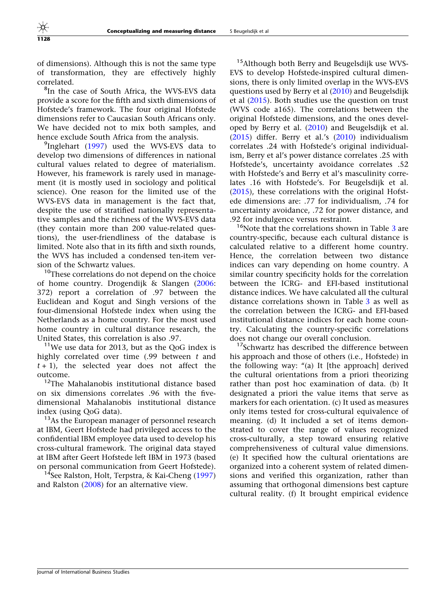of dimensions). Although this is not the same type of transformation, they are effectively highly correlated.

<sup>8</sup>In the case of South Africa, the WVS-EVS data provide a score for the fifth and sixth dimensions of Hofstede's framework. The four original Hofstede dimensions refer to Caucasian South Africans only. We have decided not to mix both samples, and hence exclude South Africa from the analysis.

<sup>9</sup>Inglehart ([1997\)](#page-17-0) used the WVS-EVS data to develop two dimensions of differences in national cultural values related to degree of materialism. However, his framework is rarely used in management (it is mostly used in sociology and political science). One reason for the limited use of the WVS-EVS data in management is the fact that, despite the use of stratified nationally representative samples and the richness of the WVS-EVS data (they contain more than 200 value-related questions), the user-friendliness of the database is limited. Note also that in its fifth and sixth rounds, the WVS has included a condensed ten-item version of the Schwartz values.

<sup>10</sup>These correlations do not depend on the choice of home country. Drogendijk & Slangen ([2006:](#page-17-0) 372) report a correlation of .97 between the Euclidean and Kogut and Singh versions of the four-dimensional Hofstede index when using the Netherlands as a home country. For the most used home country in cultural distance research, the United States, this correlation is also .97.

 $11$ We use data for 2013, but as the QoG index is highly correlated over time (.99 between t and  $t + 1$ ), the selected year does not affect the outcome.

<sup>12</sup>The Mahalanobis institutional distance based on six dimensions correlates .96 with the fivedimensional Mahalanobis institutional distance index (using QoG data).

<sup>13</sup>As the European manager of personnel research at IBM, Geert Hofstede had privileged access to the confidential IBM employee data used to develop his cross-cultural framework. The original data stayed at IBM after Geert Hofstede left IBM in 1973 (based on personal communication from Geert Hofstede).

<sup>14</sup>See Ralston, Holt, Terpstra, & Kai-Cheng ([1997\)](#page-18-0) and Ralston [\(2008](#page-18-0)) for an alternative view.

<sup>15</sup>Although both Berry and Beugelsdijk use WVS-EVS to develop Hofstede-inspired cultural dimensions, there is only limited overlap in the WVS-EVS questions used by Berry et al ([2010\)](#page-16-0) and Beugelsdijk et al ([2015\)](#page-16-0). Both studies use the question on trust (WVS code a165). The correlations between the original Hofstede dimensions, and the ones developed by Berry et al. [\(2010](#page-16-0)) and Beugelsdijk et al. [\(2015](#page-16-0)) differ. Berry et al.'s ([2010\)](#page-16-0) individualism correlates .24 with Hofstede's original individualism, Berry et al's power distance correlates .25 with Hofstede's, uncertainty avoidance correlates .52 with Hofstede's and Berry et al's masculinity correlates .16 with Hofstede's. For Beugelsdijk et al. [\(2015](#page-16-0)), these correlations with the original Hofstede dimensions are: .77 for individualism, .74 for uncertainty avoidance, .72 for power distance, and .92 for indulgence versus restraint.

<sup>16</sup>Note that the correlations shown in Table  $3$  are country-specific, because each cultural distance is calculated relative to a different home country. Hence, the correlation between two distance indices can vary depending on home country. A similar country specificity holds for the correlation between the ICRG- and EFI-based institutional distance indices. We have calculated all the cultural distance correlations shown in Table [3](#page-9-0) as well as the correlation between the ICRG- and EFI-based institutional distance indices for each home country. Calculating the country-specific correlations does not change our overall conclusion.

<sup>17</sup>Schwartz has described the difference between his approach and those of others (i.e., Hofstede) in the following way:  $\ell$ (a) It [the approach] derived the cultural orientations from a priori theorizing rather than post hoc examination of data. (b) It designated a priori the value items that serve as markers for each orientation. (c) It used as measures only items tested for cross-cultural equivalence of meaning. (d) It included a set of items demonstrated to cover the range of values recognized cross-culturally, a step toward ensuring relative comprehensiveness of cultural value dimensions. (e) It specified how the cultural orientations are organized into a coherent system of related dimensions and verified this organization, rather than assuming that orthogonal dimensions best capture cultural reality. (f) It brought empirical evidence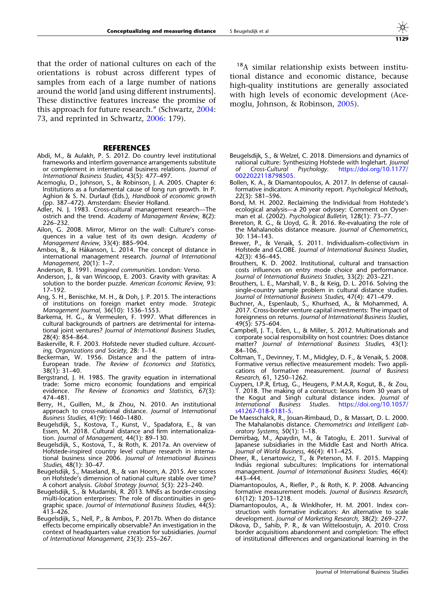<span id="page-16-0"></span>that the order of national cultures on each of the orientations is robust across different types of samples from each of a large number of nations around the world [and using different instruments]. These distinctive features increase the promise of this approach for future research.'' (Schwartz, [2004:](#page-18-0) 73, and reprinted in Schwartz, [2006:](#page-18-0) 179).

#### **REFERENCES**

- Abdi, M., & Aulakh, P. S. 2012. Do country level institutional frameworks and interfirm governance arrangements substitute or complement in international business relations. Journal of International Business Studies, 43(5): 477–497.
- Acemoglu, D., Johnson, S., & Robinson, J. A. 2005. Chapter 6: Institutions as a fundamental cause of long run growth. In P. Aghion & S. N. Durlauf (Eds.), Handbook of economic growth (pp. 387–472). Amsterdam: Elsevier Holland.
- Adler, N. J. 1983. Cross-cultural management research—The ostrich and the trend. Academy of Management Review, 8(2): 226–232.
- Ailon, G. 2008. Mirror, Mirror on the wall: Culture's consequences in a value test of its own design. Academy of Management Review, 33(4): 885–904.
- Ambos, B., & Håkanson, L. 2014. The concept of distance in international management research. Journal of International Management, 20(1): 1–7.
- Anderson, B. 1991. Imagined communities. London: Verso.
- Anderson, J., & van Wincoop, E. 2003. Gravity with gravitas: A solution to the border puzzle. American Economic Review, 93: 17–192.
- Ang, S. H., Benischke, M. H., & Doh, J. P. 2015. The interactions of institutions on foreign market entry mode. Strategic Management Journal, 36(10): 1536-1553.
- Barkema, H. G., & Vermeulen, F. 1997. What differences in cultural backgrounds of partners are detrimental for international joint ventures? Journal of International Business Studies, 28(4): 854–864.
- Baskerville, R. F. 2003. Hofstede never studied culture. Accounting, Organizations and Society, 28: 1–14.
- Beckerman, W. 1956. Distance and the pattern of intra-European trade. The Review of Economics and Statistics, 38(1): 31–40.
- Bergstrand, J. H. 1985. The gravity equation in international trade: Some micro economic foundations and empirical evidence. The Review of Economics and Statistics, 67(3): 474–481.
- Berry, H., Guillen, M., & Zhou, N. 2010. An institutional approach to cross-national distance. Journal of International Business Studies, 41(9): 1460–1480.
- Beugelsdijk, S., Kostova, T., Kunst, V., Spadafora, E., & van Essen, M. 2018. Cultural distance and firm internationalization. Journal of Management, 44(1): 89–130.
- Beugelsdijk, S., Kostova, T., & Roth, K. 2017a. An overview of Hofstede-inspired country level culture research in international business since 2006. Journal of International Business Studies, 48(1): 30–47.
- Beugelsdijk, S., Maseland, R., & van Hoorn, A. 2015. Are scores on Hofstede's dimension of national culture stable over time? A cohort analysis. Global Strategy Journal, 5(3): 223–240.
- Beugelsdijk, S., & Mudambi, R. 2013. MNEs as border-crossing multi-location enterprises: The role of discontinuities in geographic space. Journal of International Business Studies,  $4\overline{4}(5)$ : 413–426.
- Beugelsdijk, S., Nell, P., & Ambos, P. 2017b. When do distance effects become empirically observable? An investigation in the context of headquarters value creation for subsidiaries. Journal of International Management, 23(3): 255–267.

<sup>18</sup>A similar relationship exists between institutional distance and economic distance, because high-quality institutions are generally associated with high levels of economic development (Acemoglu, Johnson, & Robinson, 2005).

- Beugelsdijk, S., & Welzel, C. 2018. Dimensions and dynamics of national culture: Synthesizing Hofstede with Inglehart. Journal of Cross-Cultural Psychology. [https://doi.org/10.1177/](http://dx.doi.org/10.1177/0022022118798505) [0022022118798505](http://dx.doi.org/10.1177/0022022118798505).
- Bollen, K. A., & Diamantopoulos, A. 2017. In defense of causalformative indicators: A minority report. Psychological Methods, 22(3): 581–596.
- Bond, M. H. 2002. Reclaiming the Individual from Hofstede's ecological analysis—a 20 year odyssey: Comment on Oyserman et al. (2002). Psychological Bulletin, 128(1): 73–77.
- Brereton, R. G., & Lloyd, G. R. 2016. Re-evaluating the role of the Mahalanobis distance measure. Journal of Chemometrics, 30: 134–143.
- Brewer, P., & Venaik, S. 2011. Individualism–collectivism in Hofstede and GLOBE. Journal of International Business Studies, 42(3): 436–445.
- Brouthers, K. D. 2002. Institutional, cultural and transaction costs influences on entry mode choice and performance. Journal of International Business Studies, 33(2): 203–221.
- Brouthers, L. E., Marshall, V. B., & Keig, D. L. 2016. Solving the single-country sample problem in cultural distance studies. Journal of International Business Studies, 47(4): 471–479.
- Buchner, A., Espenlaub, S., Khurhsed, A., & Mohammed, A. 2017. Cross-border venture capital investments: The impact of foreignness on returns. Journal of International Business Studies, 49(5): 575–604.
- Campbell, J. T., Eden, L., & Miller, S. 2012. Multinationals and corporate social responsibility on host countries: Does distance matter? Journal of International Business Studies, 43(1): 84–106.
- Coltman, T., Devinney, T. M., Midgley, D. F., & Venaik, S. 2008. Formative versus reflective measurement models: Two applications of formative measurement. Journal of Business Research, 61, 1250–1262.
- Cuypers, I.P.R, Ertug, G., Heugens, P.M.A.R, Kogut, B., & Zou, T. 2018. The making of a construct: lessons from 30 years of the Kogut and Singh cultural distance index. Journal of International Business Studies. https://doi.org/10.1057/ Business Studies. [https://doi.org/10.1057/](http://dx.doi.org/10.1057/s41267-018-0181-5) [s41267-018-0181-5](http://dx.doi.org/10.1057/s41267-018-0181-5).
- De Maesschalck, R., Jouan-Rimbaud, D., & Massart, D. L. 2000. The Mahalanobis distance. Chemometrics and Intelligent Laboratory Systems, 50(1): 1–18.
- Demirbag, M., Apaydin, M., & Tatoglu, E. 2011. Survival of Japanese subsidiaries in the Middle East and North Africa. Journal of World Business, 46(4): 411–425.
- Dheer, R., Lenartowicz, T., & Peterson, M. F. 2015. Mapping Indiás regional subcultures: Implications for international management. Journal of International Business Studies, 46(4): 443–444.
- Diamantopoulos, A., Riefler, P., & Roth, K. P. 2008. Advancing formative measurement models. Journal of Business Research, 61(12): 1203–1218.
- Diamantopoulos, A., & Winklhofer, H. M. 2001. Index construction with formative indicators: An alternative to scale development. Journal of Marketing Research, 38(2): 269–277.
- Dikova, D., Sahib, P. R., & van Witteloostuijn, A. 2010. Cross border acquisitions abandonment and completion: The effect of institutional differences and organizational learning in the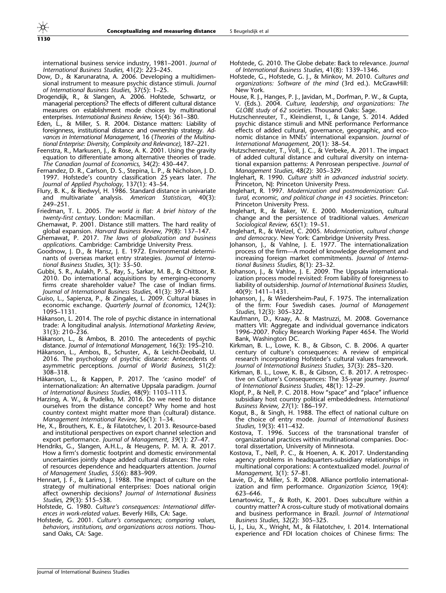<span id="page-17-0"></span>international business service industry, 1981–2001. Journal of International Business Studies, 41(2): 223-245.

- Dow, D., & Karunaratna, A. 2006. Developing a multidimensional instrument to measure psychic distance stimuli. Journal of International Business Studies, 37(5): 1–25.
- Drogendijk, R., & Slangen, A. 2006. Hofstede, Schwartz, or managerial perceptions? The effects of different cultural distance measures on establishment mode choices by multinational enterprises. International Business Review, 15(4): 361–380.
- Eden, L., & Miller, S. R. 2004. Distance matters: Liability of foreignness, institutional distance and ownership strategy. Advances in International Management, 16 (Theories of the Multinational Enterprise: Diversity, Complexity and Relevance), 187–221.
- Feenstra, R., Markusen, J., & Rose, A. K. 2001. Using the gravity equation to differentiate among alternative theories of trade. The Canadian Journal of Economics, 34(2): 430–447.
- Fernandez, D. R., Carlson, D. S., Stepina, L. P., & Nicholson, J. D. 1997. Hofstede's country classification 25 years later. The Journal of Applied Psychology, 137(1): 43-54.
- Flury, B. K., & Riedwyl, H. 1986. Standard distance in univariate and multivariate analysis. American Statistican, 40(3): 249–251.
- Friedman, T. L. 2005. The world is flat: A brief history of the twenty-first century. London: Macmillan.
- Ghemawat, P. 2001. Distance still matters. The hard reality of global expansion. Harvard Business Review, 79(8): 137–147.
- Ghemawat, P. 2017. The laws of globalization and business applications. Cambridge: Cambridge University Press.
- Goodnow, J. D., & Hansz, J. E. 1972. Environmental determinants of overseas market entry strategies. Journal of International Business Studies, 3(1): 33–50.
- Gubbi, S. R., Aulakh, P. S., Ray, S., Sarkar, M. B., & Chittoor, R. 2010. Do international acquisitions by emerging-economy firms create shareholder value? The case of Indian firms. Journal of International Business Studies, 41(3): 397–418.
- Guiso, L., Sapienza, P., & Zingales, L. 2009. Cultural biases in economic exchange. Quarterly Journal of Economics, 124(3): 1095–1131.
- Håkanson, L. 2014. The role of psychic distance in international trade: A longitudinal analysis. International Marketing Review, 31(3): 210–236.
- Håkanson, L., & Ambos, B. 2010. The antecedents of psychic distance. Journal of International Management, 16(3): 195–210.
- Håkanson, L., Ambos, B., Schuster, A., & Leicht-Deobald, U. 2016. The psychology of psychic distance: Antecedents of asymmetric perceptions. Journal of World Business, 51(2): 308–318.
- Håkanson, L., & Kappen, P. 2017. The 'casino model' of internationalization: An alternative Uppsala paradigm. Journal of International Business Studies, 48(9): 1103–1113.
- Harzing, A. W., & Pudelko, M. 2016. Do we need to distance ourselves from the distance concept? Why home and host country context might matter more than (cultural) distance. Management International Review, 56(1): 1–34.
- He, X., Brouthers, K. E., & Filatotchev, I. 2013. Resource-based and institutional perspectives on export channel selection and export performance. Journal of Management, 39(1): 27–47.
- Hendriks, G., Slangen, A.H.L., & Heugens, P. M. A. R. 2017. How a firm's domestic footprint and domestic environmental uncertainties jointly shape added cultural distances: The roles of resources dependence and headquarters attention. Journal of Management Studies, 55(6): 883–909.
- Hennart, J. F., & Larimo, J. 1988. The impact of culture on the strategy of multinational enterprises: Does national origin affect ownership decisions? Journal of International Business Studies, 29(3): 515–538.
- Hofstede, G. 1980. Culture's consequences: International differences in work-related values. Beverly Hills, CA: Sage.
- Hofstede, G. 2001. Culture's consequences; comparing values, behaviors, institutions, and organizations across nations. Thousand Oaks, CA: Sage.
- Hofstede, G. 2010. The Globe debate: Back to relevance. Journal of International Business Studies, 41(8): 1339–1346.
- Hofstede, G., Hofstede, G. J., & Minkov, M. 2010. Cultures and organizations: Software of the mind (3rd ed.). McGrawHill: New York.
- House, R. J., Hanges, P. J., Javidan, M., Dorfman, P. W., & Gupta, V. (Eds.). 2004. Culture, leadership, and organizations: The GLOBE study of 62 societies. Thousand Oaks: Sage.
- Hutzschenreuter, T., Kleindienst, I., & Lange, S. 2014. Added psychic distance stimuli and MNE performance Performance effects of added cultural, governance, geographic, and economic distance in MNEs' international expansion. Journal of International Management, 20(1): 38–54.
- Hutzschenreuter, T., Voll, J. C., & Verbeke, A. 2011. The impact of added cultural distance and cultural diversity on international expansion patterns: A Penrosean perspective. Journal of Management Studies, 48(2): 305–329.
- Inglehart, R. 1990. Culture shift in advanced industrial society. Princeton, NJ: Princeton University Press.
- Inglehart, R. 1997. Modernization and postmodernization: Cultural, economic, and political change in 43 societies. Princeton: Princeton University Press.
- Inglehart, R., & Baker, W. E. 2000. Modernization, cultural change and the persistence of traditional values. American Sociological Review, 65(1): 19-51.
- Inglehart, R., & Welzel, C. 2005. Modernization, cultural change and democracy. New York: Cambridge University Press.
- Johanson, J., & Vahlne, J. E. 1977. The internationalization process of the firm—A model of knowledge development and increasing foreign market commitments. Journal of International Business Studies, 8(1): 23–32.
- Johanson, J., & Vahlne, J. E. 2009. The Uppsala internationalization process model revisited: From liability of foreignness to liability of outsidership. Journal of International Business Studies, 40(9): 1411–1431.
- Johanson, J., & Wiedersheim-Paul, F. 1975. The internalization of the firm: Four Swedish cases. Journal of Management Studies, 12(3): 305–322.
- Kaufmann, D., Kraay, A. & Mastruzzi, M. 2008. Governance matters VII: Aggregate and individual governance indicators 1996–2007. Policy Research Working Paper 4654. The World Bank, Washington DC.
- Kirkman, B. L., Lowe, K. B., & Gibson, C. B. 2006. A quarter century of culture's consequences: A review of empirical research incorporating Hofstede's cultural values framework. Journal of International Business Studies, 37(3): 285–320.
- Kirkman, B. L., Lowe, K. B., & Gibson, C. B. 2017. A retrospective on Culture's Consequences: The 35-year journey. Journal of International Business Studies, 48(1): 12-29.
- Klopf, P., & Nell, P. C. 2018. How ''space'' and ''place'' influence subsidiary host country political embeddedness. International Business Review, 27(1): 186–197.
- Kogut, B., & Singh, H. 1988. The effect of national culture on the choice of entry mode. Journal of International Business Studies, 19(3): 411–432.
- Kostova, T. 1996. Success of the transnational transfer of organizational practices within multinational companies. Doctoral dissertation, University of Minnesota.
- Kostova, T., Nell, P. C., & Hoenen, A. K. 2017. Understanding agency problems in headquarters-subsidiary relationships in multinational corporations: A contextualized model. Journal of Management, 3(1): 57–81.
- Lavie, D., & Miller, S. R. 2008. Alliance portfolio internationalization and firm performance. Organization Science, 19(4): 623–646.
- Lenartowicz, T., & Roth, K. 2001. Does subculture within a country matter? A cross-culture study of motivational domains and business performance in Brazil. Journal of International Business Studies, 32(2): 305–325.
- Li, J., Liu, X., Wright, M., & Filatotchev, I. 2014. International experience and FDI location choices of Chinese firms: The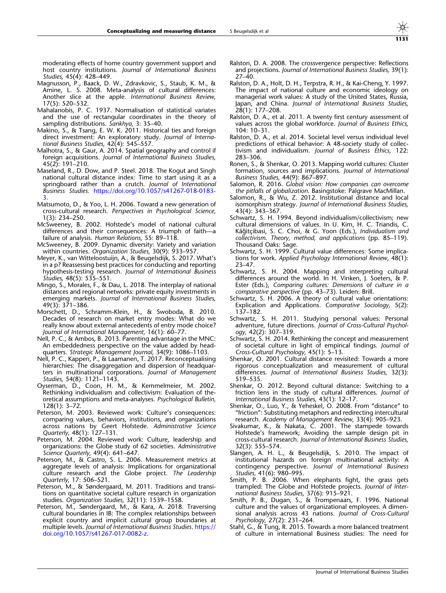<span id="page-18-0"></span>moderating effects of home country government support and host country institutions. Journal of International Business Studies, 45(4): 428–449.

- Magnusson, P., Baack, D. W., Zdravkovic, S., Staub, K. M., & Amine, L. S. 2008. Meta-analysis of cultural differences: Another slice at the apple. International Business Review, 17(5): 520–532.
- Mahalanobis, P. C. 1937. Normalisation of statistical variates and the use of rectangular coordinates in the theory of sampling distributions. Sankhya, 3: 35-40.
- Makino, S., & Tsang, E. W. K. 2011. Historical ties and foreign direct investment: An exploratory study. Journal of International Business Studies, 42(4): 545–557.
- Malhotra, S., & Gaur, A. 2014. Spatial geography and control if foreign acquisitions. Journal of International Business Studies, 45(2): 191–210.
- Maseland, R., D. Dow, and P. Steel. 2018. The Kogut and Singh national cultural distance index: Time to start using it as a springboard rather than a crutch. Journal of International Business Studies. [https://doi.org/10.1057/s41267-018-0183-](http://dx.doi.org/10.1057/s41267-018-0183-3) [3](http://dx.doi.org/10.1057/s41267-018-0183-3).
- Matsumoto, D., & Yoo, L. H. 2006. Toward a new generation of cross-cultural research. Perspectives in Psychological Science, 1(3): 234–250.
- McSweeney, B. 2002. Hofstede's model of national cultural differences and their consequences: A triumph of faith—a failure of analysis. Human Relations, 55: 89–118.
- McSweeney, B. 2009. Dynamic diversity: Variety and variation within countries. Organization Studies, 30(9): 933-957.
- Meyer, K., van Witteloostuijn, A., & Beugelsdijk, S. 2017. What's in a p? Reassessing best practices for conducting and reporting hypothesis-testing research. Journal of International Business Studies, 48(5): 535–551.
- Mingo, S., Morales, F., & Dau, L. 2018. The interplay of national distances and regional networks: private equity investments in emerging markets. Journal of International Business Studies, 49(3): 371–386.
- Morschett, D., Schramm-Klein, H., & Swoboda, B. 2010. Decades of research on market entry modes: What do we really know about external antecedents of entry mode choice? Journal of International Management, 16(1): 60–77.
- Nell, P. C., & Ambos, B. 2013. Parenting advantage in the MNC: An embeddedness perspective on the value added by headquarters. Strategic Management Journal, 34(9): 1086–1103.
- Nell, P. C., Kappen, P., & Laamanen, T. 2017. Reconceptualising hierarchies: The disaggregation and dispersion of headquarters in multinational corporations. Journal of Management Studies, 54(8): 1121–1143.
- Oyserman, D., Coon, H. M., & Kemmelmeier, M. 2002. Rethinking individualism and collectivism: Evaluation of theoretical assumptions and meta-analyses. Psychological Bulletin, 128(1): 3–72.
- Peterson, M. 2003. Reviewed work: Culture's consequences: comparing values, behaviors, institutions, and organizations across nations by Geert Hofstede. Administrative Science Quarterly, 48(1): 127–131.
- Peterson, M. 2004. Reviewed work: Culture, leadership and organizations: the Globe study of 62 societies. Administrative Science Quarterly, 49(4): 641–647.
- Peterson, M., & Castro, S. L. 2006. Measurement metrics at aggregate levels of analysis: Implications for organizational culture research and the Globe project. The Leadership Quarterly, 17: 506–521.
- Peterson, M., & Søndergaard, M. 2011. Traditions and transitions on quantitative societal culture research in organization studies. Organization Studies, 32(11): 1539–1558.
- Peterson, M., Søndergaard, M., & Kara, A. 2018. Traversing cultural boundaries in IB: The complex relationships between explicit country and implicit cultural group boundaries at multiple levels. Journal of International Business Studies. [https://](http://dx.doi.org/10.1057/s41267-017-0082-z) [doi.org/10.1057/s41267-017-0082-z](http://dx.doi.org/10.1057/s41267-017-0082-z).
- Ralston, D. A. 2008. The crossvergence perspective: Reflections and projections. Journal of International Business Studies, 39(1): 27–40.
- Ralston, D. A., Holt, D. H., Terpstra, R. H., & Kai-Cheng, Y. 1997. The impact of national culture and economic ideology on managerial work values: A study of the United States, Russia, Japan, and China. Journal of International Business Studies, 28(1): 177–208.
- Ralston, D. A., et al. 2011. A twenty first century assessment of values across the global workforce. Journal of Business Ethics, 104: 10–31.
- Ralston, D. A., et al. 2014. Societal level versus individual level predictions of ethical behavior: A 48-society study of collectivism and individualism. Journal of Business Ethics, 122: 283–306.
- Ronen, S., & Shenkar, O. 2013. Mapping world cultures: Cluster formation, sources and implications. Journal of International Business Studies, 44(9): 867–897.
- Salomon, R. 2016. Global vision: How companies can overcome the pitfalls of globalization. Basingstoke: Palgrave MacMillan.
- Salomon, R., & Wu, Z. 2012. Institutional distance and local isomorphism strategy. Journal of International Business Studies, 43(4): 343–367.
- Schwartz, S. H. 1994. Beyond individualism/collectivism; new cultural dimensions of values. In U. Kim, H. C. Triandis, C. Kâğitcibasi, S. C. Choi, & G. Yoon (Eds.), Individualism and collectivism. Theory, method, and applications (pp. 85–119). Thousand Oaks: Sage.
- Schwartz, S. H. 1999. Cultural value differences: Some implications for work. Applied Psychology International Review, 48(1): 23–47.
- Schwartz, S. H. 2004. Mapping and interpreting cultural differences around the world. In H. Vinken, J. Soeters, & P. Ester (Eds.), Comparing cultures: Dimensions of culture in a comparative perspective (pp. 43–73). Leiden: Brill.
- Schwartz, S. H. 2006. A theory of cultural value orientations: Explication and Applications. Comparative Sociology, 5(2): 137–182.
- Schwartz, S. H. 2011. Studying personal values: Personal adventure, future directions. Journal of Cross-Cultural Psychology, 42(2): 307–319.
- Schwartz, S. H. 2014. Rethinking the concept and measurement of societal culture in light of empirical findings. Journal of Cross-Cultural Psychology, 45(1): 5–13.
- Shenkar, O. 2001. Cultural distance revisited: Towards a more rigorous conceptualization and measurement of cultural differences. Journal of International Business Studies, 32(3): 519–535.
- Shenkar, O. 2012. Beyond cultural distance: Switching to a friction lens in the study of cultural differences. Journal of International Business Studies, 43(1): 12–17.
- Shenkar, O., Luo, Y., & Yeheskel, O. 2008. From ''distance'' to "friction": Substituting metaphors and redirecting intercultural research. Academy of Management Review, 33(4): 905–923.
- Sivakumar, K., & Nakata, C. 2001. The stampede towards Hofstede's framework; Avoiding the sample design pit in cross-cultural research. Journal of International Business Studies, 32(3): 555–574.
- Slangen, A. H. L., & Beugelsdijk, S. 2010. The impact of institutional hazards on foreign multinational activity: A contingency perspective. Journal of International Business Studies, 41(6): 980–995.
- Smith, P. B. 2006. When elephants fight, the grass gets trampled: The Globe and Hofstede projects. Journal of International Business Studies, 37(6): 915–921.
- Smith, P. B., Dugan, S., & Trompenaars, F. 1996. National culture and the values of organizational employees. A dimensional analysis across 43 nations. Journal of Cross-Cultural Psychology, 27(2): 231–264.
- Stahl, G., & Tung, R. 2015. Towards a more balanced treatment of culture in international Business studies: The need for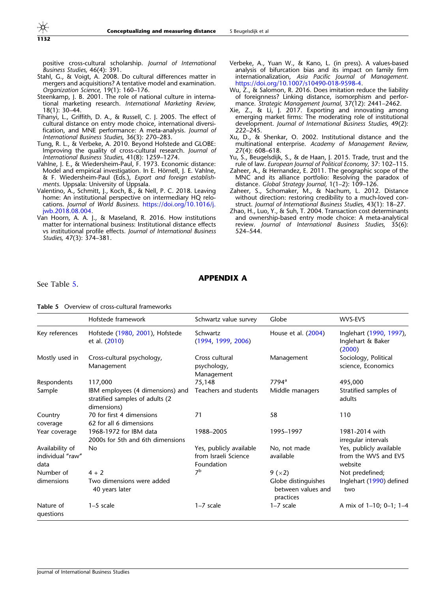<span id="page-19-0"></span>positive cross-cultural scholarship. Journal of International Business Studies, 46(4): 391.

- Stahl, G., & Voigt, A. 2008. Do cultural differences matter in mergers and acquisitions? A tentative model and examination. Organization Science, 19(1): 160–176.
- Steenkamp, J. B. 2001. The role of national culture in international marketing research. International Marketing Review, 18(1): 30–44.
- Tihanyi, L., Griffith, D. A., & Russell, C. J. 2005. The effect of cultural distance on entry mode choice, international diversification, and MNE performance: A meta-analysis. Journal of International Business Studies, 36(3): 270–283.
- Tung, R. L., & Verbeke, A. 2010. Beyond Hofstede and GLOBE: Improving the quality of cross-cultural research. Journal of International Business Studies, 41(8): 1259–1274.
- Vahlne, J. E., & Wiedersheim-Paul, F. 1973. Economic distance: Model and empirical investigation. In E. Hörnell, J. E. Vahlne, & F. Wiedersheim-Paul (Eds.), Export and foreign establishments. Uppsala: University of Uppsala.
- Valentino, A., Schmitt, J., Koch, B., & Nell, P. C. 2018. Leaving home: An institutional perspective on intermediary HQ relocations. Journal of World Business. [https://doi.org/10.1016/j.](http://dx.doi.org/10.1016/j.jwb.2018.08.004) [jwb.2018.08.004.](http://dx.doi.org/10.1016/j.jwb.2018.08.004)
- Van Hoorn, A. A. J., & Maseland, R. 2016. How institutions matter for international business: Institutional distance effects vs institutional profile effects. Journal of International Business Studies, 47(3): 374–381.
- Verbeke, A., Yuan W., & Kano, L. (in press). A values-based analysis of bifurcation bias and its impact on family firm internationalization, Asia Pacific Journal of Management. [https://doi.org/10.1007/s10490-018-9598-4.](http://dx.doi.org/10.1007/s10490-018-9598-4)
- Wu, Z., & Salomon, R. 2016. Does imitation reduce the liability of foreignness? Linking distance, isomorphism and performance. Strategic Management Journal, 37(12): 2441–2462.
- Xie, Z., & Li, J. 2017. Exporting and innovating among emerging market firms: The moderating role of institutional development. Journal of International Business Studies, 49(2): 222–245.
- Xu, D., & Shenkar, O. 2002. Institutional distance and the multinational enterprise. Academy of Management Review, 27(4): 608–618.
- Yu, S., Beugelsdijk, S., & de Haan, J. 2015. Trade, trust and the rule of law. European Journal of Political Economy, 37: 102–115.
- Zaheer, A., & Hernandez, E. 2011. The geographic scope of the MNC and its alliance portfolio: Resolving the paradox of distance. Global Strategy Journal, 1(1–2): 109–126.
- Zaheer, S., Schomaker, M., & Nachum, L. 2012. Distance without direction: restoring credibility to a much-loved construct. Journal of International Business Studies, 43(1): 18–27.
- Zhao, H., Luo, Y., & Suh, T. 2004. Transaction cost determinants and ownership-based entry mode choice: A meta-analytical review. Journal of International Business Studies, 35(6): 524–544.

#### APPENDIX A

See Table 5.

Table 5 Overview of cross-cultural frameworks

|                                             | Hofstede framework                                                                  | Schwartz value survey                                         | Globe                                                  | <b>WVS-EVS</b>                                             |
|---------------------------------------------|-------------------------------------------------------------------------------------|---------------------------------------------------------------|--------------------------------------------------------|------------------------------------------------------------|
| Key references                              | Hofstede (1980, 2001), Hofstede<br>et al. (2010)                                    | Schwartz<br>(1994, 1999, 2006)                                | House et al. (2004)                                    | Inglehart (1990, 1997),<br>Inglehart & Baker<br>(2000)     |
| Mostly used in                              | Cross-cultural psychology,<br>Management                                            | Cross cultural<br>psychology,<br>Management                   | Management                                             | Sociology, Political<br>science, Economics                 |
| Respondents                                 | 117,000                                                                             | 75,148                                                        | $7794^a$                                               | 495,000                                                    |
| Sample                                      | IBM employees (4 dimensions) and<br>stratified samples of adults (2)<br>dimensions) | Teachers and students                                         | Middle managers                                        | Stratified samples of<br>adults                            |
| Country                                     | 70 for first 4 dimensions                                                           | 71                                                            | 58                                                     | 110                                                        |
| coverage                                    | 62 for all 6 dimensions                                                             |                                                               |                                                        |                                                            |
| Year coverage                               | 1968-1972 for IBM data<br>2000s for 5th and 6th dimensions                          | 1988-2005                                                     | 1995-1997                                              | 1981-2014 with<br>irregular intervals                      |
| Availability of<br>individual "raw"<br>data | N <sub>0</sub>                                                                      | Yes, publicly available<br>from Israeli Science<br>Foundation | No, not made<br>available                              | Yes, publicly available<br>from the WVS and EVS<br>website |
| Number of                                   | $4 + 2$                                                                             | 7 <sup>b</sup>                                                | 9 (x 2)                                                | Not predefined;                                            |
| dimensions                                  | Two dimensions were added<br>40 years later                                         |                                                               | Globe distinguishes<br>between values and<br>practices | Inglehart (1990) defined<br>two                            |
| Nature of<br>questions                      | $1-5$ scale                                                                         | $1-7$ scale                                                   | $1 - 7$ scale                                          | A mix of 1-10; 0-1; 1-4                                    |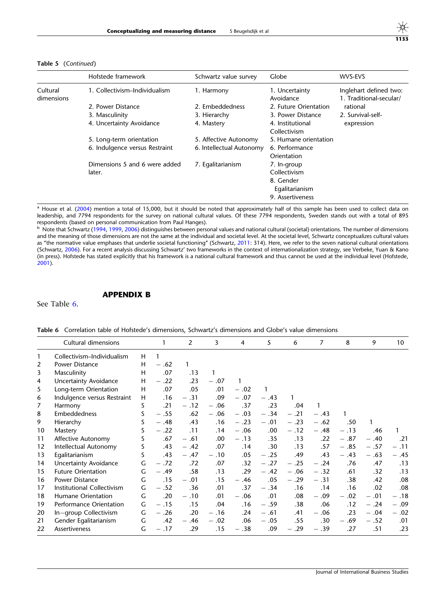| (Continued)<br>Table 5 |  |
|------------------------|--|
|------------------------|--|

|                        | Hofstede framework             | Schwartz value survey    | Globe                            | WVS-EVS                                           |
|------------------------|--------------------------------|--------------------------|----------------------------------|---------------------------------------------------|
| Cultural<br>dimensions | 1. Collectivism-Individualism  | 1. Harmony               | 1. Uncertainty<br>Avoidance      | Inglehart defined two:<br>1. Traditional-secular/ |
|                        | 2. Power Distance              | 2. Embeddedness          | 2. Future Orientation            | rational                                          |
|                        | 3. Masculinity                 | 3. Hierarchy             | 3. Power Distance                | 2. Survival-self-                                 |
|                        | 4. Uncertainty Avoidance       | 4. Mastery               | 4. Institutional<br>Collectivism | expression                                        |
|                        | 5. Long-term orientation       | 5. Affective Autonomy    | 5. Humane orientation            |                                                   |
|                        | 6. Indulgence versus Restraint | 6. Intellectual Autonomy | 6. Performance<br>Orientation    |                                                   |
|                        | Dimensions 5 and 6 were added  | 7. Egalitarianism        | 7. In-group                      |                                                   |
|                        | later.                         |                          | Collectivism                     |                                                   |
|                        |                                |                          | 8. Gender                        |                                                   |
|                        |                                |                          | Egalitarianism                   |                                                   |
|                        |                                |                          | 9. Assertiveness                 |                                                   |

<sup>a</sup> House et al. ([2004\)](#page-17-0) mention a total of 15,000, but it should be noted that approximately half of this sample has been used to collect data on leadership, and 7794 respondents for the survey on national cultural values. Of these 7794 respondents, Sweden stands out with a total of 895 respondents (based on personal communication from Paul Hanges).

<sup>b</sup> Note that Schwartz [\(1994,](#page-18-0) [1999,](#page-18-0) [2006\)](#page-18-0) distinguishes between personal values and national cultural (societal) orientations. The number of dimensions and the meaning of those dimensions are not the same at the individual and societal level. At the societal level, Schwartz conceptualizes cultural values as "the normative value emphases that underlie societal functioning" (Schwartz, [2011](#page-18-0): 314). Here, we refer to the seven national cultural orientations (Schwartz, [2006\)](#page-18-0). For a recent analysis discussing Schwartz' two frameworks in the context of internationalization strategy, see Verbeke, Yuan & Kano (in press). Hofstede has stated explicitly that his framework is a national cultural framework and thus cannot be used at the individual level (Hofstede, [2001\)](#page-17-0).

#### APPENDIX B

See Table 6.

|    | Cultural dimensions         |   | 1                               | 2      | 3      | 4      | 5      | 6      | 7      | 8                               | 9      | 10     |
|----|-----------------------------|---|---------------------------------|--------|--------|--------|--------|--------|--------|---------------------------------|--------|--------|
| 1  | Collectivism-Individualism  | H |                                 |        |        |        |        |        |        |                                 |        |        |
| 2  | Power Distance              | H | $-.62$                          |        |        |        |        |        |        |                                 |        |        |
| 3  | Masculinity                 | H | .07                             | .13    |        |        |        |        |        |                                 |        |        |
| 4  | Uncertainty Avoidance       | H | $-.22$                          | .23    | $-.07$ |        |        |        |        |                                 |        |        |
| 5  | Long-term Orientation       | H | .07                             | .05    | .01    | $-.02$ | 1      |        |        |                                 |        |        |
| 6  | Indulgence versus Restraint | H | .16                             | $-.31$ | .09    | $-.07$ | $-.43$ | 1      |        |                                 |        |        |
| 7  | Harmony                     | S | .21                             | $-.12$ | $-.06$ | .37    | .23    | .04    |        |                                 |        |        |
| 8  | Embeddedness                | S | $-.55$                          | .62    | $-.06$ | $-.03$ | $-.34$ | $-.21$ | $-.43$ | 1                               |        |        |
| 9  | Hierarchy                   | S | $-.48$                          | .43    | .16    | $-.23$ | $-.01$ | $-.23$ | $-.62$ | .50                             | 1      |        |
| 10 | Mastery                     | S | $-.22$                          | .11    | .14    | $-.06$ | .00    | $-.12$ | $-.48$ | $-.13$                          | .46    |        |
| 11 | Affective Autonomy          | S | .67                             | $-.61$ | .00.   | $-.13$ | .35    | .13    | .22    | $-.87$                          | $-.40$ | .21    |
| 12 | Intellectual Autonomy       | S | .43                             | $-.42$ | .07    | .14    | .30    | .13    | .57    | $-.85$                          | $-.57$ | $-.11$ |
| 13 | Egalitarianism              | S | .43                             | $-.47$ | $-.10$ | .05    | $-.25$ | .49    | .43    | $-.43$                          | $-.63$ | $-.45$ |
| 14 | Uncertainty Avoidance       | G | $-.72$                          | .72    | .07    | .32    | $-.27$ | $-.25$ | $-.24$ | .76                             | .47    | .13    |
| 15 | <b>Future Orientation</b>   | G | $-.49$                          | .58    | .13    | .29    | $-.42$ | $-.06$ | $-.32$ | .61                             | .32    | .13    |
| 16 | Power Distance              | G | .15                             | $-.01$ | .15    | $-.46$ | .05    | $-.29$ | $-.31$ | .38                             | .42    | .08    |
| 17 | Institutional Collectivism  | G | $-.52$                          | .36    | .01    | .37    | $-.34$ | .16    | .14    | .16                             | .02    | .08    |
| 18 | Humane Orientation          | G | .20                             | $-.10$ | .01    | $-.06$ | .01    | .08    | $-.09$ | $-.02$                          | $-.01$ | $-.18$ |
| 19 | Performance Orientation     | G | $-.15$                          | .15    | .04    | .16    | $-.59$ | .38    | .06    | .12                             | $-.24$ | $-.09$ |
| 20 | In-group Collectivism       | G | $-.26$                          | .20    | $-.16$ | .24    | $-.61$ | .41    | $-.06$ | .23                             | $-.04$ | $-.02$ |
| 21 | Gender Egalitarianism       | G | .42                             | $-.46$ | $-.02$ | .06    | $-.05$ | .55    | .30    | .69<br>$\overline{\phantom{0}}$ | $-.52$ | .01    |
| 22 | Assertiveness               | G | .17<br>$\overline{\phantom{0}}$ | .29    | .15    | $-.38$ | .09    | $-.29$ | $-.39$ | .27                             | .51    | .23    |

Table 6 Correlation table of Hofstede's dimensions, Schwartz's dimensions and Globe's value dimensions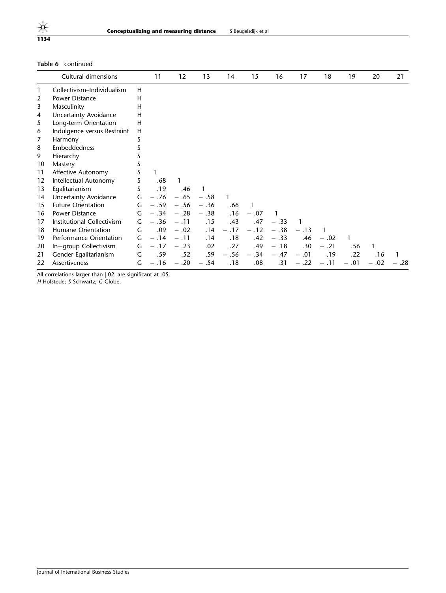#### Table 6 continued

|    | Cultural dimensions         |    | 11           | 12     | 13     | 14     | 15     | 16     | 17               | 18     | 19           | 20     | 21     |
|----|-----------------------------|----|--------------|--------|--------|--------|--------|--------|------------------|--------|--------------|--------|--------|
| 1  | Collectivism-Individualism  | Н  |              |        |        |        |        |        |                  |        |              |        |        |
| 2  | <b>Power Distance</b>       | Н  |              |        |        |        |        |        |                  |        |              |        |        |
| 3  | Masculinity                 | н  |              |        |        |        |        |        |                  |        |              |        |        |
| 4  | Uncertainty Avoidance       | н  |              |        |        |        |        |        |                  |        |              |        |        |
| 5  | Long-term Orientation       | н  |              |        |        |        |        |        |                  |        |              |        |        |
| 6  | Indulgence versus Restraint | Н  |              |        |        |        |        |        |                  |        |              |        |        |
| 7  | Harmony                     | S  |              |        |        |        |        |        |                  |        |              |        |        |
| 8  | <b>Embeddedness</b>         | S  |              |        |        |        |        |        |                  |        |              |        |        |
| 9  | Hierarchy                   |    |              |        |        |        |        |        |                  |        |              |        |        |
| 10 | Mastery                     | S  |              |        |        |        |        |        |                  |        |              |        |        |
| 11 | Affective Autonomy          | S  | $\mathbf{1}$ |        |        |        |        |        |                  |        |              |        |        |
| 12 | Intellectual Autonomy       | S  | .68          |        |        |        |        |        |                  |        |              |        |        |
| 13 | Egalitarianism              | S  | .19          | .46    | 1      |        |        |        |                  |        |              |        |        |
| 14 | Uncertainty Avoidance       | G  | $-.76$       | $-.65$ | $-.58$ | 1      |        |        |                  |        |              |        |        |
| 15 | <b>Future Orientation</b>   | G. | $-.59$       | $-.56$ | $-.36$ | .66    |        |        |                  |        |              |        |        |
| 16 | <b>Power Distance</b>       |    | $-.34$       | $-.28$ | $-.38$ | .16    | $-.07$ | 1      |                  |        |              |        |        |
| 17 | Institutional Collectivism  | G. | $-.36$       | $-.11$ | .15    | .43    | .47    | $-.33$ |                  |        |              |        |        |
| 18 | Humane Orientation          | G  | .09          | $-.02$ | .14    | $-.17$ | $-.12$ | $-.38$ | $-.13$           |        |              |        |        |
| 19 | Performance Orientation     | G  | $-.14$       | $-.11$ | .14    | .18    | .42    | $-.33$ | .46              | $-.02$ | $\mathbf{1}$ |        |        |
| 20 | In-group Collectivism       | G. | $-.17$       | $-.23$ | .02    | .27    | .49    | $-.18$ | .30 <sub>0</sub> | $-.21$ | .56          | 1      |        |
| 21 | Gender Egalitarianism       | G  | .59          | .52    | .59    | $-.56$ | $-.34$ | $-.47$ | $-.01$           | .19    | .22          | .16    |        |
| 22 | Assertiveness               | G  | $-.16$       | $-.20$ | $-.54$ | .18    | .08    | .31    | $-.22$           | $-.11$ | $-.01$       | $-.02$ | $-.28$ |

All correlations larger than |.02| are significant at .05.

H Hofstede; S Schwartz; G Globe.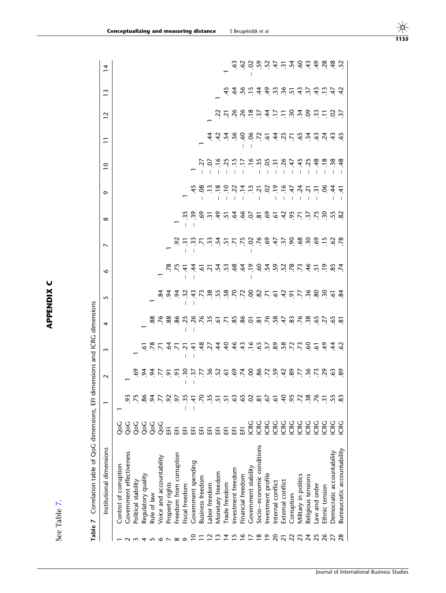See Table 7. See Table 7.

<span id="page-22-0"></span>

|                         | Table 7 Correlation table of QoG dimensions, EFI di |                                  |                                       | mensions and ICRG                 |                                                        | dimensions |   |                                             |                                                    |   |                                    |                                  |                                       |                                                                                                                      |   |                                      |
|-------------------------|-----------------------------------------------------|----------------------------------|---------------------------------------|-----------------------------------|--------------------------------------------------------|------------|---|---------------------------------------------|----------------------------------------------------|---|------------------------------------|----------------------------------|---------------------------------------|----------------------------------------------------------------------------------------------------------------------|---|--------------------------------------|
|                         | Institutional dimensions                            |                                  |                                       | $\sim$                            | 3                                                      | 4          | 5 | ৩                                           | $\overline{\phantom{0}}$                           | ∞ | ᡡ                                  | $\approx$                        |                                       | $\scriptstyle\sim$                                                                                                   | m | $\overline{4}$                       |
|                         | Control of corruption                               | ე<br>გ                           |                                       |                                   |                                                        |            |   |                                             |                                                    |   |                                    |                                  |                                       |                                                                                                                      |   |                                      |
|                         | Government effectiveness                            | QoC                              |                                       |                                   |                                                        |            |   |                                             |                                                    |   |                                    |                                  |                                       |                                                                                                                      |   |                                      |
|                         | Political stability                                 | QoC                              |                                       |                                   |                                                        |            |   |                                             |                                                    |   |                                    |                                  |                                       |                                                                                                                      |   |                                      |
|                         | Regulatory quality                                  | QoC                              | 86                                    |                                   |                                                        |            |   |                                             |                                                    |   |                                    |                                  |                                       |                                                                                                                      |   |                                      |
|                         | Rule of law                                         | QoC                              | $\tilde{q}$                           | TRAVE HOLL ANG GROSKA SALAKA GROS | <u>c x L q L U 4 d y 4 d 4 d - q p 8 w L L 6 d 4 d</u> |            |   |                                             |                                                    |   |                                    |                                  |                                       |                                                                                                                      |   |                                      |
|                         | Voice and accountability                            | QoC                              |                                       |                                   |                                                        |            |   |                                             |                                                    |   |                                    |                                  |                                       |                                                                                                                      |   |                                      |
|                         | Property rights                                     | 區                                |                                       |                                   |                                                        |            |   |                                             |                                                    |   |                                    |                                  |                                       |                                                                                                                      |   |                                      |
|                         | Freedom from corruption                             | 뜐                                | $\dot{e}$                             |                                   |                                                        |            |   |                                             |                                                    |   |                                    |                                  |                                       |                                                                                                                      |   |                                      |
|                         | Fiscal freedom                                      | 뜐                                | 35.<br>$\overline{1}$                 |                                   |                                                        |            |   |                                             |                                                    |   |                                    |                                  |                                       |                                                                                                                      |   |                                      |
|                         | Government spending                                 | ェ                                | $\dot{t}$<br>$\overline{\phantom{a}}$ |                                   |                                                        |            |   |                                             |                                                    |   |                                    |                                  |                                       |                                                                                                                      |   |                                      |
|                         | <b>Business</b> freedom                             | 6666                             |                                       |                                   |                                                        |            |   |                                             |                                                    |   |                                    |                                  |                                       |                                                                                                                      |   |                                      |
|                         | Labor freedom                                       |                                  | $\frac{55}{5}$                        |                                   |                                                        |            |   |                                             |                                                    |   |                                    |                                  |                                       |                                                                                                                      |   |                                      |
|                         | Monetary freedom                                    |                                  | 5                                     |                                   |                                                        |            |   |                                             |                                                    |   |                                    |                                  |                                       |                                                                                                                      |   |                                      |
|                         | Trade freedom                                       |                                  | $\overline{5}$                        |                                   |                                                        |            |   |                                             |                                                    |   | ぉ゙ぉ゙ਜ਼ਜ਼ਜ਼ਲ਼ਜ਼ਜ਼ਲ਼ਖ਼ਲ਼ਜ਼ਖ਼ਲ਼ਜ਼ਜ਼ਫ਼ | <u>ヷヮゟゎ゙ゎ゙゠゙゠゙ゕ゙ぉヹゟヸゟゖぉ゙ぉ゙ぉ゙</u> |                                       |                                                                                                                      |   |                                      |
|                         | Investment freedom                                  | 岳                                | 63                                    |                                   |                                                        |            |   |                                             |                                                    |   |                                    |                                  |                                       |                                                                                                                      |   | 3                                    |
| $\frac{8}{1}$           | Financial freedom                                   | 岳                                | 65                                    |                                   |                                                        |            |   |                                             |                                                    |   |                                    |                                  |                                       |                                                                                                                      |   |                                      |
|                         | Government stability                                |                                  | $\mathcal{S}$                         |                                   |                                                        |            |   |                                             |                                                    |   |                                    |                                  |                                       |                                                                                                                      |   |                                      |
| $\approx$               | Socio-economic conditions                           | <u>ក្ខិន កិច្ច</u><br>កិច្ចកិច្ច | হে                                    |                                   |                                                        |            |   |                                             |                                                    |   |                                    |                                  |                                       |                                                                                                                      |   |                                      |
| $\overline{5}$          | Investment profile                                  |                                  | $\ddot{\theta}$                       |                                   |                                                        |            |   |                                             |                                                    |   |                                    | $\mathbf{I}$                     |                                       |                                                                                                                      |   |                                      |
|                         | Internal conflict                                   |                                  | 61                                    |                                   |                                                        |            |   |                                             |                                                    |   |                                    | T                                |                                       |                                                                                                                      |   |                                      |
| $\overline{\mathsf{N}}$ | External conflict                                   |                                  | द                                     |                                   |                                                        |            |   |                                             |                                                    |   |                                    | $\mathbf{I}$                     |                                       |                                                                                                                      |   |                                      |
|                         | Corruption                                          |                                  | 95                                    |                                   |                                                        |            |   |                                             |                                                    |   |                                    | $\mathbf{I}$                     |                                       |                                                                                                                      |   |                                      |
| $\frac{2}{2}$           | Military in politics                                |                                  | .72                                   |                                   |                                                        |            |   |                                             |                                                    |   |                                    | $\mathbf{I}$                     |                                       |                                                                                                                      |   |                                      |
| $\overline{z}$          | Religious tensions                                  |                                  | 38                                    |                                   |                                                        |            |   |                                             |                                                    |   |                                    | T                                |                                       |                                                                                                                      |   |                                      |
| 25                      | Law and order                                       |                                  | 76                                    |                                   |                                                        |            |   |                                             |                                                    |   |                                    |                                  |                                       |                                                                                                                      |   |                                      |
| 26                      | Ethnic tension                                      |                                  | $\overline{3}$                        |                                   |                                                        |            |   |                                             |                                                    |   |                                    |                                  |                                       |                                                                                                                      |   |                                      |
| 27                      | Democratic accountability                           | LCRC                             | 55                                    |                                   |                                                        |            |   | 8 5 4 4 6 5 7 8 9 6 5 6 7 9 9 9 6 7 8 9 6 7 | <u>g ü ü ü ü ü ü ü ü ü g g g d ü g g d g ü g v</u> |   |                                    |                                  | 4 4 4 4 6 6 6 7 6 4 4 7 6 9 9 9 4 6 7 | <u>gi di gi di gi di di gi di gi di gi di gi di gi di gi di gi di gi di gi di gi di gi di gi di gi di gi di gi d</u> |   | <u>G G G G 4 W G 4 4 G &amp; 6 G</u> |
| 28                      | Bureaucratic accountability                         | CRO                              | 83                                    |                                   |                                                        |            |   |                                             |                                                    |   | $\Delta$                           | $\frac{8}{3}$                    |                                       |                                                                                                                      |   |                                      |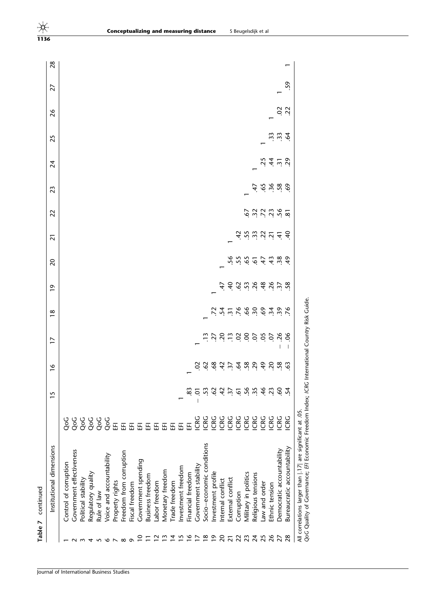| Table 7         | continued                                                                                                              |                         |                |                                                                                                       |                                       |            |               |                |                            |                                                                                                          |            |                               |               |     |    |    |
|-----------------|------------------------------------------------------------------------------------------------------------------------|-------------------------|----------------|-------------------------------------------------------------------------------------------------------|---------------------------------------|------------|---------------|----------------|----------------------------|----------------------------------------------------------------------------------------------------------|------------|-------------------------------|---------------|-----|----|----|
|                 | Institutional dimensions                                                                                               |                         | $\frac{5}{1}$  | $\frac{6}{2}$                                                                                         | $\overline{1}$                        | $^{\circ}$ | Q             | $\overline{c}$ | $\overline{z}$             | 22                                                                                                       | 23         | 24                            | 25            | 26  | 27 | 28 |
|                 | Control of corruption                                                                                                  | oo<br>O                 |                |                                                                                                       |                                       |            |               |                |                            |                                                                                                          |            |                               |               |     |    |    |
|                 | Government effectiveness                                                                                               | OoC                     |                |                                                                                                       |                                       |            |               |                |                            |                                                                                                          |            |                               |               |     |    |    |
|                 | Political stability                                                                                                    | QoC                     |                |                                                                                                       |                                       |            |               |                |                            |                                                                                                          |            |                               |               |     |    |    |
|                 | Regulatory quality                                                                                                     | QoC                     |                |                                                                                                       |                                       |            |               |                |                            |                                                                                                          |            |                               |               |     |    |    |
|                 | Rule of law                                                                                                            | QoC                     |                |                                                                                                       |                                       |            |               |                |                            |                                                                                                          |            |                               |               |     |    |    |
| ७               | Voice and accountability                                                                                               | QoC                     |                |                                                                                                       |                                       |            |               |                |                            |                                                                                                          |            |                               |               |     |    |    |
|                 | Property rights                                                                                                        | $\overline{\mathbb{H}}$ |                |                                                                                                       |                                       |            |               |                |                            |                                                                                                          |            |                               |               |     |    |    |
| $^{\circ}$      | Freedom from corruption                                                                                                | 뜐                       |                |                                                                                                       |                                       |            |               |                |                            |                                                                                                          |            |                               |               |     |    |    |
| ᢀ               | Fiscal freedom                                                                                                         | 뜐                       |                |                                                                                                       |                                       |            |               |                |                            |                                                                                                          |            |                               |               |     |    |    |
| ⊇               | Government spending                                                                                                    | 뜐                       |                |                                                                                                       |                                       |            |               |                |                            |                                                                                                          |            |                               |               |     |    |    |
|                 | <b>Business</b> freedom                                                                                                | 뜐                       |                |                                                                                                       |                                       |            |               |                |                            |                                                                                                          |            |                               |               |     |    |    |
| $\overline{1}$  | Labor freedom                                                                                                          | 뜐                       |                |                                                                                                       |                                       |            |               |                |                            |                                                                                                          |            |                               |               |     |    |    |
| $\frac{1}{2}$   | Monetary freedom                                                                                                       | 풉                       |                |                                                                                                       |                                       |            |               |                |                            |                                                                                                          |            |                               |               |     |    |    |
| $\overline{4}$  | Trade freedom                                                                                                          | 풉                       |                |                                                                                                       |                                       |            |               |                |                            |                                                                                                          |            |                               |               |     |    |    |
| $\overline{z}$  | Investment freedom                                                                                                     | 뜐                       |                |                                                                                                       |                                       |            |               |                |                            |                                                                                                          |            |                               |               |     |    |    |
| $\frac{8}{1}$   | Financial freedom                                                                                                      | 岳                       |                |                                                                                                       |                                       |            |               |                |                            |                                                                                                          |            |                               |               |     |    |    |
|                 | Government stability                                                                                                   | ICRG                    | $rac{6}{6}$    |                                                                                                       |                                       |            |               |                |                            |                                                                                                          |            |                               |               |     |    |    |
| $\frac{8}{18}$  | Socio-economic conditions                                                                                              | <b>ICRC</b>             |                |                                                                                                       |                                       |            |               |                |                            |                                                                                                          |            |                               |               |     |    |    |
| ⊵               | Investment profile                                                                                                     | <b>ICRC</b>             |                |                                                                                                       |                                       |            |               |                |                            |                                                                                                          |            |                               |               |     |    |    |
| $\overline{c}$  | Internal conflict                                                                                                      | <b>ICRC</b>             |                |                                                                                                       |                                       |            | 47            |                |                            |                                                                                                          |            |                               |               |     |    |    |
| $\overline{2}1$ | External conflict                                                                                                      | <b>ICRC</b>             | 5345655456     | $G \ddot{\alpha} \ddot{\alpha} \ddot{\alpha} \ddot{\gamma} \ddot{\omega} \ddot{\alpha} \ddot{\omega}$ | 538586868                             | 5.35888    |               |                |                            |                                                                                                          |            |                               |               |     |    |    |
| $\frac{2}{2}$   | Corruption                                                                                                             | <b>ICRC</b>             |                |                                                                                                       |                                       |            |               |                |                            |                                                                                                          |            |                               |               |     |    |    |
|                 | Military in politics                                                                                                   | <b>ICRC</b>             |                |                                                                                                       |                                       |            |               |                |                            |                                                                                                          |            |                               |               |     |    |    |
| $\overline{2}$  | Religious tensions                                                                                                     | <b>ICRC</b>             |                |                                                                                                       |                                       |            |               |                |                            |                                                                                                          | 4.         |                               |               |     |    |    |
| 25              | Law and order                                                                                                          | <b>ICRC</b>             |                |                                                                                                       |                                       |            |               |                |                            |                                                                                                          |            | 25                            |               |     |    |    |
| 26              | Ethnic tension                                                                                                         | <b>ICRC</b>             |                |                                                                                                       |                                       |            |               |                |                            |                                                                                                          |            |                               |               |     |    |    |
| 27              | Democratic accountability                                                                                              | <b>LCRC</b>             |                | <u>ಕೆ ನ ಜ</u>                                                                                         |                                       | 6496       | 9.29.79880783 | 8.9.9979999    | <u>ਤ ਨੂੰ ਲਾਂ ਲਾਂ ਦੇ ਦੱ</u> | $\ddot{\circ}$ $\ddot{\circ}$ $\ddot{\circ}$ $\ddot{\circ}$ $\ddot{\circ}$ $\ddot{\circ}$ $\ddot{\circ}$ | 3, 8, 8, 6 | $\dot{4}$ $\dot{2}$ $\dot{5}$ | 3. vi         | S S |    |    |
| 28              | Bureaucratic accountability                                                                                            | <b>LCRC</b>             | $\overline{5}$ | $\frac{6}{3}$                                                                                         | 06<br>T                               |            |               |                |                            |                                                                                                          |            |                               | $\mathcal{L}$ |     | 59 | ٣  |
|                 | QoG Quality of Governance; EFI Economic Freedom Index; I<br>All correlations larger than   17  are significant at .05. |                         |                |                                                                                                       | CRG International Country Risk Guide. |            |               |                |                            |                                                                                                          |            |                               |               |     |    |    |

 $*$ <br> $\frac{1}{1136}$